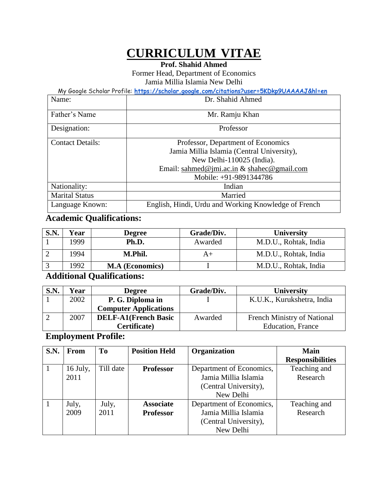# **CURRICULUM VITAE**

**Prof. Shahid Ahmed**

Former Head, Department of Economics Jamia Millia Islamia New Delhi

My Google Scholar Profile: **<https://scholar.google.com/citations?user=5KDkp9UAAAAJ&hl=en>**

| Name:                   | Dr. Shahid Ahmed                                     |  |  |  |
|-------------------------|------------------------------------------------------|--|--|--|
| Father's Name           | Mr. Ramju Khan                                       |  |  |  |
| Designation:            | Professor                                            |  |  |  |
| <b>Contact Details:</b> | Professor, Department of Economics                   |  |  |  |
|                         | Jamia Millia Islamia (Central University),           |  |  |  |
|                         | New Delhi-110025 (India).                            |  |  |  |
|                         | Email: sahmed@jmi.ac.in $&$ shahec@gmail.com         |  |  |  |
|                         | Mobile: +91-9891344786                               |  |  |  |
| Nationality:            | Indian                                               |  |  |  |
| <b>Marital Status</b>   | Married                                              |  |  |  |
| Language Known:         | English, Hindi, Urdu and Working Knowledge of French |  |  |  |

# **Academic Qualifications:**

| <b>S.N.</b> | Year | <b>Degree</b>          | Grade/Div. | <b>University</b>     |
|-------------|------|------------------------|------------|-----------------------|
|             | 1999 | Ph.D.                  | Awarded    | M.D.U., Rohtak, India |
|             | 1994 | M.Phil.                |            | M.D.U., Rohtak, India |
|             | 1992 | <b>M.A</b> (Economics) |            | M.D.U., Rohtak, India |
| .           | - -  | ----                   |            |                       |

### **Additional Qualifications:**

| <b>S.N.</b> | Year | <b>Degree</b>                | Grade/Div. | University                  |
|-------------|------|------------------------------|------------|-----------------------------|
|             | 2002 | P. G. Diploma in             |            | K.U.K., Kurukshetra, India  |
|             |      | <b>Computer Applications</b> |            |                             |
|             | 2007 | <b>DELF-A1(French Basic</b>  | Awarded    | French Ministry of National |
|             |      | Certificate)                 |            | <b>Education</b> , France   |

# **Employment Profile:**

| <b>S.N.</b> | From     | <b>To</b> | <b>Position Held</b>                         | Organization             | Main                    |
|-------------|----------|-----------|----------------------------------------------|--------------------------|-------------------------|
|             |          |           |                                              |                          | <b>Responsibilities</b> |
|             | 16 July, | Till date | <b>Professor</b>                             | Department of Economics, | Teaching and            |
|             | 2011     |           |                                              | Jamia Millia Islamia     | Research                |
|             |          |           | (Central University),                        |                          |                         |
|             |          |           |                                              | New Delhi                |                         |
|             | July,    | July,     | Department of Economics,<br><b>Associate</b> |                          | Teaching and            |
|             | 2009     | 2011      | <b>Professor</b>                             | Jamia Millia Islamia     | Research                |
|             |          |           |                                              | (Central University),    |                         |
|             |          |           |                                              | New Delhi                |                         |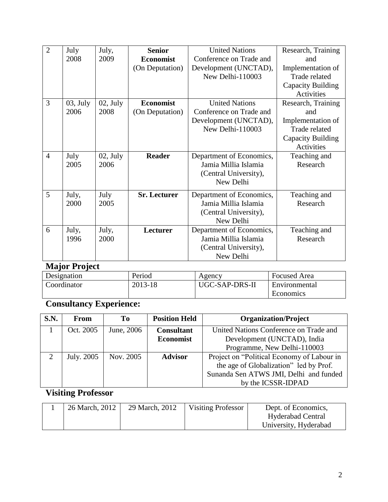| $\overline{2}$ | July        | July,      | <b>Senior</b>       | <b>United Nations</b>    | Research, Training |
|----------------|-------------|------------|---------------------|--------------------------|--------------------|
|                | 2008        | 2009       | <b>Economist</b>    | Conference on Trade and  | and                |
|                |             |            | (On Deputation)     | Development (UNCTAD),    | Implementation of  |
|                |             |            |                     | New Delhi-110003         | Trade related      |
|                |             |            |                     |                          | Capacity Building  |
|                |             |            |                     |                          | Activities         |
| 3              | $03$ , July | $02,$ July | <b>Economist</b>    | <b>United Nations</b>    | Research, Training |
|                | 2006        | 2008       | (On Deputation)     | Conference on Trade and  | and                |
|                |             |            |                     | Development (UNCTAD),    | Implementation of  |
|                |             |            |                     | New Delhi-110003         | Trade related      |
|                |             |            |                     |                          | Capacity Building  |
|                |             |            |                     |                          | Activities         |
| $\overline{4}$ | July        | $02,$ July | <b>Reader</b>       | Department of Economics, | Teaching and       |
|                | 2005        | 2006       |                     | Jamia Millia Islamia     | Research           |
|                |             |            |                     | (Central University),    |                    |
|                |             |            |                     | New Delhi                |                    |
| 5              | July,       | July       | <b>Sr.</b> Lecturer | Department of Economics, | Teaching and       |
|                | 2000        | 2005       |                     | Jamia Millia Islamia     | Research           |
|                |             |            |                     | (Central University),    |                    |
|                |             |            |                     | New Delhi                |                    |
| 6              | July,       | July,      | Lecturer            | Department of Economics, | Teaching and       |
|                | 1996        | 2000       |                     | Jamia Millia Islamia     | Research           |
|                |             |            |                     | (Central University),    |                    |
|                |             |            |                     | New Delhi                |                    |

# **Major Project**

| Designation | Period  | Agency         | <b>Focused Area</b> |
|-------------|---------|----------------|---------------------|
| Coordinator | 2013-18 | UGC-SAP-DRS-II | Environmental       |
|             |         |                | Economics           |

# **Consultancy Experience:**

| S.N.          | From       | To         | <b>Position Held</b> | <b>Organization/Project</b>                |
|---------------|------------|------------|----------------------|--------------------------------------------|
|               | Oct. 2005  | June, 2006 | <b>Consultant</b>    | United Nations Conference on Trade and     |
|               |            |            | <b>Economist</b>     | Development (UNCTAD), India                |
|               |            |            |                      | Programme, New Delhi-110003                |
| $\mathcal{D}$ | July. 2005 | Nov. 2005  | <b>Advisor</b>       | Project on "Political Economy of Labour in |
|               |            |            |                      | the age of Globalization" led by Prof.     |
|               |            |            |                      | Sunanda Sen ATWS JMI, Delhi and funded     |
|               |            |            |                      | by the ICSSR-IDPAD                         |

# **Visiting Professor**

|  | 26 March, 2012 | 29 March, 2012 | <b>Visiting Professor</b> | Dept. of Economics,      |
|--|----------------|----------------|---------------------------|--------------------------|
|  |                |                |                           | <b>Hyderabad Central</b> |
|  |                |                |                           | University, Hyderabad    |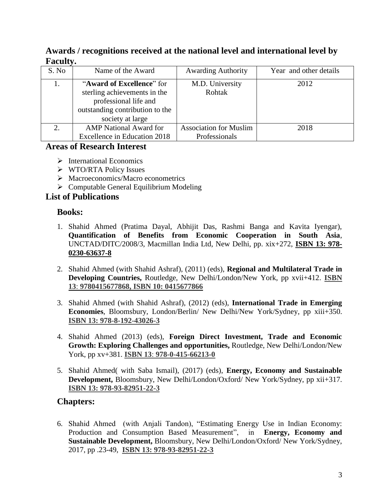### **Awards / recognitions received at the national level and international level by Faculty.**

| S. No | Name of the Award                                                                                                                         | <b>Awarding Authority</b>     | Year and other details |
|-------|-------------------------------------------------------------------------------------------------------------------------------------------|-------------------------------|------------------------|
|       | "Award of Excellence" for<br>sterling achievements in the<br>professional life and<br>outstanding contribution to the<br>society at large | M.D. University<br>Rohtak     | 2012                   |
|       | <b>AMP</b> National Award for                                                                                                             | <b>Association for Muslim</b> | 2018                   |
|       | Excellence in Education 2018                                                                                                              | Professionals                 |                        |

### **Areas of Research Interest**

- $\triangleright$  International Economics
- WTO/RTA Policy Issues
- $\triangleright$  Macroeconomics/Macro econometrics
- $\triangleright$  Computable General Equilibrium Modeling

### **List of Publications**

### **Books:**

- 1. Shahid Ahmed (Pratima Dayal, Abhijit Das, Rashmi Banga and Kavita Iyengar), **Quantification of Benefits from Economic Cooperation in South Asia**, UNCTAD/DITC/2008/3, Macmillan India Ltd, New Delhi, pp. xix+272, **ISBN 13: 978- 0230-63637-8**
- 2. Shahid Ahmed (with Shahid Ashraf), (2011) (eds), **Regional and Multilateral Trade in Developing Countries,** Routledge, New Delhi/London/New York, pp xvii+412. **ISBN 13**: **9780415677868, ISBN 10: 0415677866**
- 3. Shahid Ahmed (with Shahid Ashraf), (2012) (eds), **International Trade in Emerging Economies**, Bloomsbury, London/Berlin/ New Delhi/New York/Sydney, pp xiii+350. **ISBN 13: 978-8-192-43026-3**
- 4. Shahid Ahmed (2013) (eds), **Foreign Direct Investment, Trade and Economic Growth: Exploring Challenges and opportunities,** Routledge, New Delhi/London/New York, pp xv+381. **ISBN 13**: **978-0-415-66213-0**
- 5. Shahid Ahmed( with Saba Ismail), (2017) (eds), **Energy, Economy and Sustainable Development,** Bloomsbury, New Delhi/London/Oxford/ New York/Sydney, pp xii+317. **ISBN 13: 978-93-82951-22-3**

## **Chapters:**

6. Shahid Ahmed (with Anjali Tandon), "Estimating Energy Use in Indian Economy: Production and Consumption Based Measurement", in **Energy, Economy and Sustainable Development,** Bloomsbury, New Delhi/London/Oxford/ New York/Sydney, 2017, pp .23-49, **ISBN 13: 978-93-82951-22-3**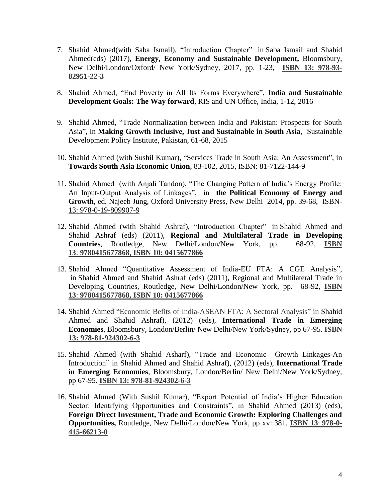- 7. Shahid Ahmed(with Saba Ismail), "Introduction Chapter" in Saba Ismail and Shahid Ahmed(eds) (2017), **Energy, Economy and Sustainable Development,** Bloomsbury, New Delhi/London/Oxford/ New York/Sydney, 2017, pp. 1-23, **ISBN 13: 978-93- 82951-22-3**
- 8. Shahid Ahmed, "End Poverty in All Its Forms Everywhere", **India and Sustainable Development Goals: The Way forward**, RIS and UN Office, India, 1-12, 2016
- 9. Shahid Ahmed, ["Trade Normalization between India and Pakistan: Prospects for South](https://scholar.google.com/citations?view_op=view_citation&hl=en&user=5KDkp9UAAAAJ&sortby=pubdate&citation_for_view=5KDkp9UAAAAJ:eJXPG6dFmWUC)  [Asia"](https://scholar.google.com/citations?view_op=view_citation&hl=en&user=5KDkp9UAAAAJ&sortby=pubdate&citation_for_view=5KDkp9UAAAAJ:eJXPG6dFmWUC), in **Making Growth Inclusive, Just and Sustainable in South Asia**, Sustainable Development Policy Institute, Pakistan, 61-68, 2015
- 10. Shahid Ahmed (with Sushil Kumar), "Services Trade in [South Asia: An Assessment"](https://scholar.google.com/citations?view_op=view_citation&hl=en&user=5KDkp9UAAAAJ&sortby=pubdate&citation_for_view=5KDkp9UAAAAJ:VOx2b1Wkg3QC), in **Towards South Asia Economic Union**, 83-102, 2015, ISBN: 81-7122-144-9
- 11. Shahid Ahmed (with Anjali Tandon), "The Changing Pattern of India's Energy Profile: An Input-Output Analysis of Linkages", in **the Political Economy of Energy and Growth**, ed. Najeeb Jung, Oxford University Press, New Delhi 2014, pp. 39-68, ISBN-13: 978-0-19-809907-9
- 12. Shahid Ahmed (with Shahid Ashraf), "Introduction Chapter" in Shahid Ahmed and Shahid Ashraf (eds) (2011), **Regional and Multilateral Trade in Developing Countries**, Routledge, New Delhi/London/New York, pp. 68-92, **ISBN 13**: **9780415677868, ISBN 10: 0415677866**
- 13. Shahid Ahmed ["Quantitative Assessment of India-EU FTA: A CGE Analysis"](http://www.csird.org.in/pdf/DP40.pdf), in Shahid Ahmed and Shahid Ashraf (eds) (2011), Regional and Multilateral Trade in Developing Countries, Routledge, New Delhi/London/New York, pp. 68-92, **ISBN 13**: **9780415677868, ISBN 10: 0415677866**
- 14. Shahid Ahmed "Economic Befits of India-ASEAN FTA: A Sectoral Analysis" in Shahid Ahmed and Shahid Ashraf), (2012) (eds), **International Trade in Emerging Economies**, Bloomsbury, London/Berlin/ New Delhi/New York/Sydney, pp 67-95. **ISBN 13: 978-81-924302-6-3**
- 15. Shahid Ahmed (with Shahid Asharf), "Trade and Economic Growth Linkages-An Introduction" in Shahid Ahmed and Shahid Ashraf), (2012) (eds), **International Trade in Emerging Economies**, Bloomsbury, London/Berlin/ New Delhi/New York/Sydney, pp 67-95. **ISBN 13: 978-81-924302-6-3**
- 16. Shahid Ahmed (With Sushil Kumar), "Export Potential of India's Higher Education Sector: Identifying Opportunities and Constraints", in Shahid Ahmed (2013) (eds), **Foreign Direct Investment, Trade and Economic Growth: Exploring Challenges and Opportunities,** Routledge, New Delhi/London/New York, pp xv+381. **ISBN 13**: **978-0- 415-66213-0**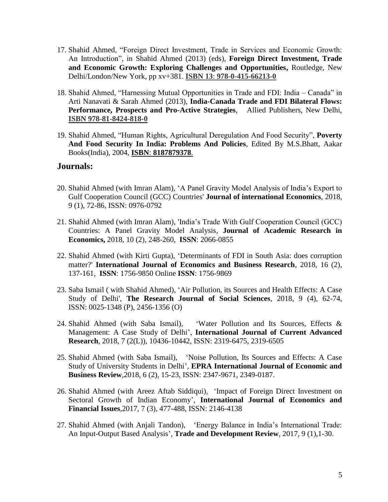- 17. Shahid Ahmed, "Foreign Direct Investment, Trade in Services and Economic Growth: An Introduction", in Shahid Ahmed (2013) (eds), **Foreign Direct Investment, Trade and Economic Growth: Exploring Challenges and Opportunities,** Routledge, New Delhi/London/New York, pp xv+381. **ISBN 13**: **978-0-415-66213-0**
- 18. Shahid Ahmed, "Harnessing Mutual Opportunities in Trade and FDI: India Canada" in Arti Nanavati & Sarah Ahmed (2013), **India-Canada Trade and FDI Bilateral Flows: Performance, Prospects and Pro-Active Strategies**, Allied Publishers, New Delhi, **ISBN 978-81-8424-818-0**
- 19. Shahid Ahmed, "Human Rights, Agricultural Deregulation And Food Security", **Poverty And Food Security In India: Problems And Policies**, Edited By M.S.Bhatt, Aakar Books(India), 2004, **ISBN**: **8187879378**.

### **Journals:**

- 20. Shahid Ahmed (with Imran Alam), ['A Panel Gravity Model Analysis of India's Export to](javascript:void(0))  [Gulf Cooperation Council \(GCC\) Countries'](javascript:void(0)) **Journal of international Economics**, 2018, 9 (1), 72-86, ISSN: 0976-0792
- 21. Shahid Ahmed (with Imran Alam), ['India's Trade With Gulf Cooperation Council \(GCC\)](javascript:void(0))  [Countries: A Panel Gravity Model Analysis,](javascript:void(0)) **Journal of Academic Research in Economics,** 2018, 10 (2), 248-260, **ISSN**: 2066-0855
- 22. Shahid Ahmed (with Kirti Gupta), ['Determinants of FDI in South Asia: does corruption](javascript:void(0))  [matter?'](javascript:void(0)) **International Journal of Economics and Business Research**, 2018, 16 (2), 137-161, **ISSN**: 1756-9850 Online **ISSN**: 1756-9869
- 23. Saba Ismail ( with Shahid Ahmed), ['Air Pollution, its Sources and Health Effects: A Case](javascript:void(0))  [Study of Delhi',](javascript:void(0)) **The Research Journal of Social Sciences**, 2018, 9 (4), 62-74, ISSN: 0025-1348 (P), 2456-1356 (O)
- 24. Shahid Ahmed (with Saba Ismail), ['Water Pollution and Its Sources, Effects &](javascript:void(0))  [Management: A Case Study of Delhi'](javascript:void(0)), **International Journal of Current Advanced Research**, 2018, 7 (2(L)), 10436-10442, ISSN: 2319-6475, 2319-6505
- 25. Shahid Ahmed (with Saba Ismail), ['Noise Pollution, Its Sources and Effects: A Case](javascript:void(0))  [Study of University Students in Delhi'](javascript:void(0)), **EPRA International Journal of Economic and Business Review**,2018, 6 (2), 15-23, ISSN: 2347-9671, 2349-0187.
- 26. Shahid Ahmed (with Areez Aftab Siddiqui), ['Impact of Foreign Direct Investment on](javascript:void(0))  [Sectoral Growth of Indian Economy'](javascript:void(0)), **International Journal of Economics and Financial Issues**,2017, 7 (3), 477-488, ISSN: 2146-4138
- 27. Shahid Ahmed (with Anjali Tandon), ['Energy Balance in India's International Trade:](javascript:void(0))  [An Input-Output Based Analysis'](javascript:void(0)), **Trade and Development Review**, 2017, 9 (1),1-30.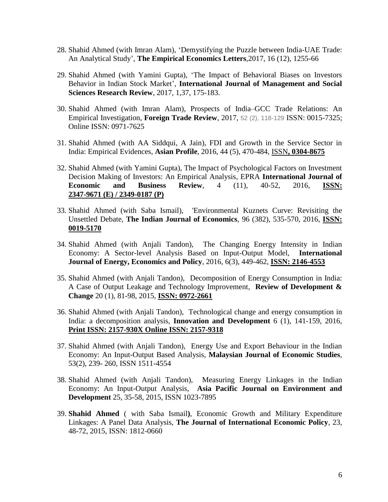- 28. Shahid Ahmed (with Imran Alam), ['Demystifying the Puzzle between India-UAE Trade:](javascript:void(0))  [An Analytical Study'](javascript:void(0)), **The Empirical Economics Letters**,2017, 16 (12), 1255-66
- 29. Shahid Ahmed (with Yamini Gupta), ['The Impact of Behavioral Biases on Investors](javascript:void(0))  [Behavior in Indian Stock Market'](javascript:void(0)), **International Journal of Management and Social Sciences Research Review**, 2017, 1,37, 175-183.
- 30. Shahid Ahmed (with Imran Alam), [Prospects of India–GCC Trade Relations: An](http://journals.sagepub.com/doi/abs/10.1177/0015732516663318)  [Empirical Investigation,](http://journals.sagepub.com/doi/abs/10.1177/0015732516663318) **Foreign Trade Review**, 2017, 52 (2), 118-129 ISSN: 0015-7325; Online ISSN: 0971-7625
- 31. Shahid Ahmed (with AA Siddqui, A Jain), [FDI and Growth in the Service Sector in](javascript:void(0))  [India: Empirical Evidences,](javascript:void(0)) **Asian Profile**, 2016, 44 (5), 470-484, ISSN**, 0304-8675**
- 32. Shahid Ahmed (with Yamini Gupta), The Impact of Psychological Factors on Investment Decision Making of Investors: An Empirical Analysis, EPRA **International Journal of Economic and Business Review**, 4 (11), 40-52, 2016, **ISSN: 2347-9671 (E) / 2349-0187 (P)**
- 33. Shahid Ahmed (with Saba Ismail), 'Environmental Kuznets Curve: Revisiting the Unsettled Debate, **The Indian Journal of Economics**, 96 (382), 535-570, 2016, **ISSN: 0019-5170**
- 34. Shahid Ahmed (with Anjali Tandon), [The Changing Energy Intensity in Indian](https://scholar.google.com/scholar?oi=bibs&cluster=1678528168748156711&btnI=1&hl=en)  [Economy: A Sector-level Analysis Based on Input-Output Model,](https://scholar.google.com/scholar?oi=bibs&cluster=1678528168748156711&btnI=1&hl=en) **International Journal of Energy, Economics and Policy**, 2016, 6(3), 449-462, **ISSN: 2146-4553**
- 35. Shahid Ahmed (with Anjali Tandon), [Decomposition of Energy Consumption in India:](https://scholar.google.com/citations?view_op=view_citation&hl=en&user=5KDkp9UAAAAJ&sortby=pubdate&citation_for_view=5KDkp9UAAAAJ:kRWSkSYxWN8C)  [A Case of Output Leakage and Technology Improvement,](https://scholar.google.com/citations?view_op=view_citation&hl=en&user=5KDkp9UAAAAJ&sortby=pubdate&citation_for_view=5KDkp9UAAAAJ:kRWSkSYxWN8C) **Review of Development & Change** 20 (1), 81-98, 2015, **ISSN: 0972-2661**
- 36. Shahid Ahmed (with Anjali Tandon), Technological change and energy consumption in India: a decomposition analysis, **Innovation and Development** 6 (1), 141-159, 2016, **Print ISSN: 2157-930X Online ISSN: 2157-9318**
- 37. Shahid Ahmed (with Anjali Tandon), [Energy Use and Export Behaviour in the Indian](https://papers.ssrn.com/sol3/papers.cfm?abstract_id=2887839)  [Economy: An Input-Output Based Analysis,](https://papers.ssrn.com/sol3/papers.cfm?abstract_id=2887839) **Malaysian Journal of Economic Studies**, 53(2), 239- 260, ISSN 1511-4554
- 38. Shahid Ahmed (with Anjali Tandon), Measuring Energy Linkages in the Indian Economy: An Input-Output Analysis, **Asia Pacific Journal on Environment and Development** 25, 35-58, 2015, ISSN 1023-7895
- 39. **Shahid Ahmed** ( with Saba Ismail**)**, Economic Growth and Military Expenditure Linkages: A Panel Data Analysis, **The Journal of International Economic Policy**, 23, 48-72, 2015, ISSN: 1812-0660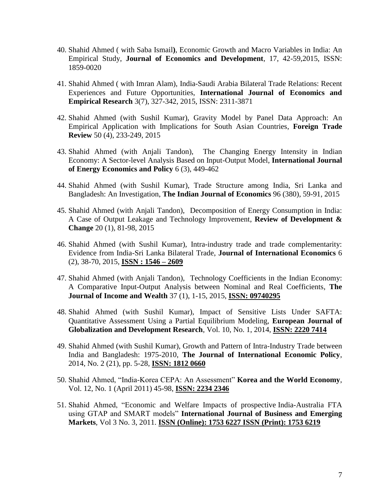- 40. Shahid Ahmed ( with Saba Ismail**)**, Economic Growth and Macro Variables in India: An Empirical Study, **Journal of Economics and Development**, 17, 42-59,2015, ISSN: 1859-0020
- 41. Shahid Ahmed ( with Imran Alam), India-Saudi Arabia Bilateral Trade Relations: Recent Experiences and Future Opportunities, **International Journal of Economics and Empirical Research** 3(7), 327-342, 2015, ISSN: 2311-3871
- 42. Shahid Ahmed (with Sushil Kumar), [Gravity Model by Panel Data Approach: An](https://scholar.google.com/citations?view_op=view_citation&hl=en&user=5KDkp9UAAAAJ&sortby=pubdate&citation_for_view=5KDkp9UAAAAJ:5Ul4iDaHHb8C)  [Empirical Application with Implications for South Asian Countries,](https://scholar.google.com/citations?view_op=view_citation&hl=en&user=5KDkp9UAAAAJ&sortby=pubdate&citation_for_view=5KDkp9UAAAAJ:5Ul4iDaHHb8C) **Foreign Trade Review** 50 (4), 233-249, 2015
- 43. Shahid Ahmed (with Anjali Tandon), [The Changing Energy Intensity in Indian](https://scholar.google.com/citations?view_op=view_citation&hl=en&user=5KDkp9UAAAAJ&sortby=pubdate&citation_for_view=5KDkp9UAAAAJ:1qzjygNMrQYC)  [Economy: A Sector-level Analysis Based on Input-Output Model,](https://scholar.google.com/citations?view_op=view_citation&hl=en&user=5KDkp9UAAAAJ&sortby=pubdate&citation_for_view=5KDkp9UAAAAJ:1qzjygNMrQYC) **International Journal of Energy Economics and Policy** 6 (3), 449-462
- 44. Shahid Ahmed (with Sushil Kumar), [Trade Structure among India, Sri Lanka and](https://scholar.google.com/citations?view_op=view_citation&hl=en&user=5KDkp9UAAAAJ&sortby=pubdate&citation_for_view=5KDkp9UAAAAJ:V3AGJWp-ZtQC)  [Bangladesh: An Investigation,](https://scholar.google.com/citations?view_op=view_citation&hl=en&user=5KDkp9UAAAAJ&sortby=pubdate&citation_for_view=5KDkp9UAAAAJ:V3AGJWp-ZtQC) **The Indian Journal of Economics** 96 (380), 59-91, 2015
- 45. Shahid Ahmed (with Anjali Tandon), [Decomposition of Energy Consumption in India:](https://scholar.google.com/citations?view_op=view_citation&hl=en&user=5KDkp9UAAAAJ&sortby=pubdate&citation_for_view=5KDkp9UAAAAJ:kRWSkSYxWN8C)  [A Case of Output Leakage and Technology Improvement,](https://scholar.google.com/citations?view_op=view_citation&hl=en&user=5KDkp9UAAAAJ&sortby=pubdate&citation_for_view=5KDkp9UAAAAJ:kRWSkSYxWN8C) **Review of Development & Change** 20 (1), 81-98, 2015
- 46. Shahid Ahmed (with Sushil Kumar), [Intra-industry trade and trade complementarity:](https://scholar.google.com/citations?view_op=view_citation&hl=en&user=5KDkp9UAAAAJ&sortby=pubdate&citation_for_view=5KDkp9UAAAAJ:mvPsJ3kp5DgC)  [Evidence from India-Sri Lanka Bilateral Trade,](https://scholar.google.com/citations?view_op=view_citation&hl=en&user=5KDkp9UAAAAJ&sortby=pubdate&citation_for_view=5KDkp9UAAAAJ:mvPsJ3kp5DgC) **Journal of International Economics** 6 (2), 38-70, 2015, **ISSN : 1546 – 2609**
- 47. Shahid Ahmed (with Anjali Tandon), [Technology Coefficients in the Indian Economy:](https://scholar.google.com/citations?view_op=view_citation&hl=en&user=5KDkp9UAAAAJ&cstart=20&sortby=pubdate&citation_for_view=5KDkp9UAAAAJ:D_sINldO8mEC)  [A Comparative Input-Output Analysis between Nominal and Real Coefficients,](https://scholar.google.com/citations?view_op=view_citation&hl=en&user=5KDkp9UAAAAJ&cstart=20&sortby=pubdate&citation_for_view=5KDkp9UAAAAJ:D_sINldO8mEC) **The Journal of Income and Wealth** 37 (1), 1-15, 2015, **ISSN: 09740295**
- 48. Shahid Ahmed (with Sushil Kumar), Impact of Sensitive Lists Under SAFTA: Quantitative Assessment Using a Partial Equilibrium Modeling, **European Journal of Globalization and Development Research**, Vol. 10, No. 1, 2014, **ISSN: 2220 7414**
- 49. Shahid Ahmed (with Sushil Kumar), Growth and Pattern of Intra-Industry Trade between India and Bangladesh: 1975-2010, **The Journal of International Economic Policy**, 2014, No. 2 (21), pp. 5-28, **ISSN: 1812 0660**
- 50. Shahid Ahmed, "India-Korea CEPA: An Assessment" **Korea and the World Economy**, Vol. 12, No. 1 (April 2011) 45-98, **ISSN: 2234 2346**
- 51. Shahid Ahmed, "Economic and Welfare Impacts of prospective India-Australia FTA using GTAP and SMART models" **International Journal of Business and Emerging Markets**, Vol 3 No. 3, 2011. **ISSN (Online): 1753 6227 ISSN (Print): 1753 6219**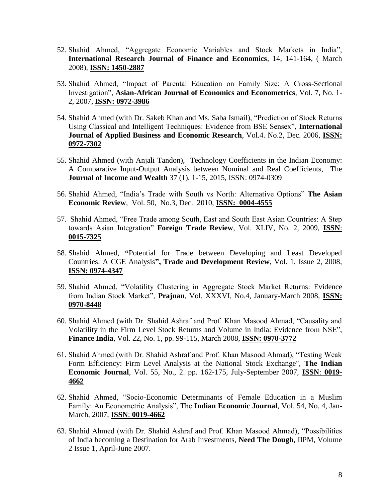- 52. Shahid Ahmed, "Aggregate Economic Variables and Stock Markets in India", **International Research Journal of Finance and Economics**, 14, 141-164, ( March 2008), **ISSN: 1450-2887**
- 53. Shahid Ahmed, "Impact of Parental Education on Family Size: A Cross-Sectional Investigation", **Asian-African Journal of Economics and Econometrics**, Vol. 7, No. 1- 2, 2007, **ISSN: 0972-3986**
- 54. Shahid Ahmed (with Dr. Sakeb Khan and Ms. Saba Ismail), "Prediction of Stock Returns Using Classical and Intelligent Techniques: Evidence from BSE Sensex", **International Journal of Applied Business and Economic Research**, Vol.4. No.2, Dec. 2006, **ISSN: 0972-7302**
- 55. Shahid Ahmed (with Anjali Tandon), [Technology Coefficients in the Indian Economy:](https://scholar.google.com/citations?view_op=view_citation&hl=en&user=5KDkp9UAAAAJ&sortby=pubdate&citation_for_view=5KDkp9UAAAAJ:D_sINldO8mEC)  [A Comparative Input-Output Analysis between Nominal and Real Coefficients,](https://scholar.google.com/citations?view_op=view_citation&hl=en&user=5KDkp9UAAAAJ&sortby=pubdate&citation_for_view=5KDkp9UAAAAJ:D_sINldO8mEC) The **Journal of Income and Wealth** 37 (1), 1-15, 2015, ISSN: 0974-0309
- 56. Shahid Ahmed, "India's Trade with South vs North: Alternative Options" **The Asian Economic Review**, Vol. 50, No.3, Dec. 2010, **ISSN: 0004-4555**
- 57. Shahid Ahmed, "Free Trade among South, East and South East Asian Countries: A Step towards Asian Integration" **Foreign Trade Review**, Vol. XLIV, No. 2, 2009, **ISSN**: **0015-7325**
- 58. Shahid Ahmed, **"**Potential for Trade between Developing and Least Developed Countries: A CGE Analysis**", Trade and Development Review**, Vol. 1, Issue 2, 2008, **ISSN: 0974-4347**
- 59. Shahid Ahmed, "Volatility Clustering in Aggregate Stock Market Returns: Evidence from Indian Stock Market", **Prajnan**, Vol. XXXVI, No.4, January-March 2008, **ISSN: 0970-8448**
- 60. Shahid Ahmed (with Dr. Shahid Ashraf and Prof. Khan Masood Ahmad, "Causality and Volatility in the Firm Level Stock Returns and Volume in India: Evidence from NSE", **Finance India**, Vol. 22, No. 1, pp. 99-115, March 2008, **ISSN: 0970-3772**
- 61. Shahid Ahmed (with Dr. Shahid Ashraf and Prof. Khan Masood Ahmad), "Testing Weak Form Efficiency: Firm Level Analysis at the National Stock Exchange", **The Indian Economic Journal**, Vol. 55, No., 2. pp. 162-175, July-September 2007, **ISSN**: **0019- 4662**
- 62. Shahid Ahmed, "Socio-Economic Determinants of Female Education in a Muslim Family: An Econometric Analysis", The **Indian Economic Journal**, Vol. 54, No. 4, Jan-March, 2007, **ISSN**: **0019-4662**
- 63. Shahid Ahmed (with Dr. Shahid Ashraf and Prof. Khan Masood Ahmad), "Possibilities of India becoming a Destination for Arab Investments, **Need The Dough**, IIPM, Volume 2 Issue 1, April-June 2007.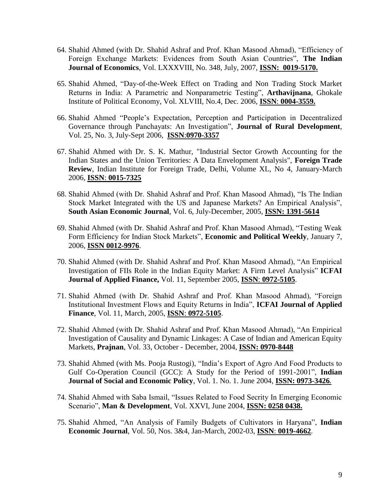- 64. Shahid Ahmed (with Dr. Shahid Ashraf and Prof. Khan Masood Ahmad), "Efficiency of Foreign Exchange Markets: Evidences from South Asian Countries", **The Indian Journal of Economics**, Vol. LXXXVIII, No. 348, July, 2007, **ISSN: 0019-5170.**
- 65. Shahid Ahmed, "Day-of-the-Week Effect on Trading and Non Trading Stock Market Returns in India: A Parametric and Nonparametric Testing", **Arthavijnana**, Ghokale Institute of Political Economy, Vol. XLVIII, No.4, Dec. 2006, **ISSN**: **0004-3559.**
- 66. Shahid Ahmed "People's Expectation, Perception and Participation in Decentralized Governance through Panchayats: An Investigation", **Journal of Rural Development**, Vol. 25, No. 3, July-Sept 2006, **ISSN**:**0970-3357**
- 67. Shahid Ahmed with Dr. S. K. Mathur, "Industrial Sector Growth Accounting for the Indian States and the Union Territories: A Data Envelopment Analysis", **Foreign Trade Review**, Indian Institute for Foreign Trade, Delhi, Volume XL, No 4, January-March 2006, **ISSN**: **0015-7325**
- 68. Shahid Ahmed (with Dr. Shahid Ashraf and Prof. Khan Masood Ahmad), "Is The Indian Stock Market Integrated with the US and Japanese Markets? An Empirical Analysis", **South Asian Economic Journal**, Vol. 6, July-December, 2005, **ISSN: 1391-5614**
- 69. Shahid Ahmed (with Dr. Shahid Ashraf and Prof. Khan Masood Ahmad), "Testing Weak Form Efficiency for Indian Stock Markets", **Economic and Political Weekly**, January 7, 2006, **ISSN 0012-9976**.
- 70. Shahid Ahmed (with Dr. Shahid Ashraf and Prof. Khan Masood Ahmad), "An Empirical Investigation of FIIs Role in the Indian Equity Market: A Firm Level Analysis" **ICFAI Journal of Applied Finance,** Vol. 11, September 2005, **ISSN**: **0972-5105**.
- 71. Shahid Ahmed (with Dr. Shahid Ashraf and Prof. Khan Masood Ahmad), "Foreign Institutional Investment Flows and Equity Returns in India", **ICFAI Journal of Applied Finance**, Vol. 11, March, 2005, **ISSN**: **0972-5105**.
- 72. Shahid Ahmed (with Dr. Shahid Ashraf and Prof. Khan Masood Ahmad), "An Empirical Investigation of Causality and Dynamic Linkages: A Case of Indian and American Equity Markets, **Prajnan**, Vol. 33, October - December, 2004, **ISSN: 0970-8448**
- 73. Shahid Ahmed (with Ms. Pooja Rustogi), "India's Export of Agro And Food Products to Gulf Co-Operation Council (GCC): A Study for the Period of 1991-2001", **Indian Journal of Social and Economic Policy**, Vol. 1. No. 1. June 2004, **ISSN: 0973-3426***.*
- 74. Shahid Ahmed with Saba Ismail, "Issues Related to Food Secrity In Emerging Economic Scenario", **Man & Development**, Vol. XXVI, June 2004, **ISSN: 0258 0438.**
- 75. Shahid Ahmed, "An Analysis of Family Budgets of Cultivators in Haryana", **Indian Economic Journal**, Vol. 50, Nos. 3&4, Jan-March, 2002-03, **ISSN**: **0019-4662**.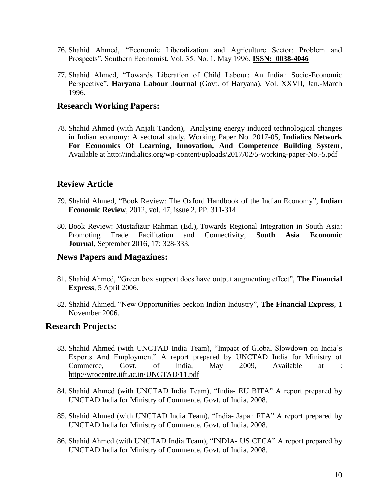- 76. Shahid Ahmed, "Economic Liberalization and Agriculture Sector: Problem and Prospects", Southern Economist, Vol. 35. No. 1, May 1996. **ISSN: 0038-4046**
- 77. Shahid Ahmed, "Towards Liberation of Child Labour: An Indian Socio-Economic Perspective", **Haryana Labour Journal** (Govt. of Haryana), Vol. XXVII, Jan.-March 1996.

### **Research Working Papers:**

78. Shahid Ahmed (with Anjali Tandon), Analysing energy induced technological changes in Indian economy: A sectoral study, Working Paper No. 2017-05, **[Indialics Network](https://scholar.google.com/scholar?oi=bibs&cluster=5286209275516400712&btnI=1&hl=en)  [For Economics Of Learning, Innovation, And Competence Building System](https://scholar.google.com/scholar?oi=bibs&cluster=5286209275516400712&btnI=1&hl=en)**, Available at http://indialics.org/wp-content/uploads/2017/02/5-working-paper-No.-5.pdf

## **Review Article**

- 79. Shahid Ahmed, ["Book Review: The Oxford Handbook of the Indian Economy"](http://econpapers.repec.org/article/dseindecr/0059.htm), **[Indian](http://econpapers.repec.org/article/dseindecr/)  [Economic Review](http://econpapers.repec.org/article/dseindecr/)**, 2012, vol. 47, issue 2, PP. 311-314
- 80. Book Review: Mustafizur Rahman (Ed.), Towards Regional Integration in South Asia: Promoting Trade Facilitation and Connectivity, **South Asia Economic Journal**, September 2016, 17: 328-333,

### **News Papers and Magazines:**

- 81. Shahid Ahmed, "Green box support does have output augmenting effect", **The Financial Express**, 5 April 2006.
- 82. Shahid Ahmed, "New Opportunities beckon Indian Industry", **The Financial Express**, 1 November 2006.

### **Research Projects:**

- 83. Shahid Ahmed (with UNCTAD India Team), "Impact of Global Slowdown on India's Exports And Employment" A report prepared by UNCTAD India for Ministry of Commerce, Govt. of India, May 2009, Available at : <http://wtocentre.iift.ac.in/UNCTAD/11.pdf>
- 84. Shahid Ahmed (with UNCTAD India Team), "India- EU BITA" A report prepared by UNCTAD India for Ministry of Commerce, Govt. of India, 2008.
- 85. Shahid Ahmed (with UNCTAD India Team), "India- Japan FTA" A report prepared by UNCTAD India for Ministry of Commerce, Govt. of India, 2008.
- 86. Shahid Ahmed (with UNCTAD India Team), "INDIA- US CECA" A report prepared by UNCTAD India for Ministry of Commerce, Govt. of India, 2008.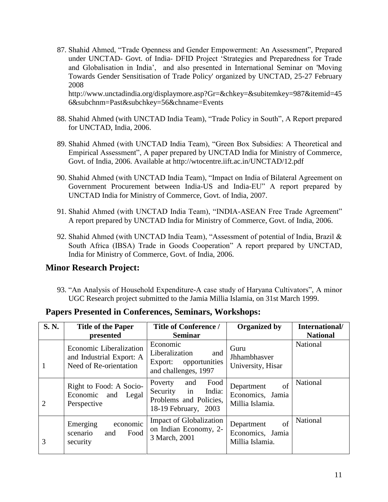87. Shahid Ahmed, "Trade Openness and Gender Empowerment: An Assessment", Prepared under UNCTAD- Govt. of India- DFID Project 'Strategies and Preparedness for Trade and Globalisation in India', and also presented in International Seminar on 'Moving Towards Gender Sensitisation of Trade Policy' organized by UNCTAD, 25-27 February 2008

[http://www.unctadindia.org/displaymore.asp?Gr=&chkey=&subitemkey=987&itemid=45](http://www.unctadindia.org/displaymore.asp?Gr=&chkey=&subitemkey=987&itemid=456&subchnm=Past&subchkey=56&chname=Events) [6&subchnm=Past&subchkey=56&chname=Events](http://www.unctadindia.org/displaymore.asp?Gr=&chkey=&subitemkey=987&itemid=456&subchnm=Past&subchkey=56&chname=Events)

- 88. Shahid Ahmed (with UNCTAD India Team), "Trade Policy in South", A Report prepared for UNCTAD, India, 2006.
- 89. Shahid Ahmed (with UNCTAD India Team), "Green Box Subsidies: A Theoretical and Empirical Assessment", A paper prepared by UNCTAD India for Ministry of Commerce, Govt. of India, 2006. Available at<http://wtocentre.iift.ac.in/UNCTAD/12.pdf>
- 90. Shahid Ahmed (with UNCTAD India Team), "Impact on India of Bilateral Agreement on Government Procurement between India-US and India-EU" A report prepared by UNCTAD India for Ministry of Commerce, Govt. of India, 2007.
- 91. Shahid Ahmed (with UNCTAD India Team), "INDIA-ASEAN Free Trade Agreement" A report prepared by UNCTAD India for Ministry of Commerce, Govt. of India, 2006.
- 92. Shahid Ahmed (with UNCTAD India Team), "Assessment of potential of India, Brazil & South Africa (IBSA) Trade in Goods Cooperation" A report prepared by UNCTAD, India for Ministry of Commerce, Govt. of India, 2006.

## **Minor Research Project:**

93. "An Analysis of Household Expenditure-A case study of Haryana Cultivators", A minor UGC Research project submitted to the Jamia Millia Islamia, on 31st March 1999.

| <b>S. N.</b>   | <b>Title of the Paper</b><br>presented                                        | <b>Title of Conference /</b><br><b>Seminar</b>                                                       | <b>Organized by</b>                                     | International/<br><b>National</b> |
|----------------|-------------------------------------------------------------------------------|------------------------------------------------------------------------------------------------------|---------------------------------------------------------|-----------------------------------|
| 1              | Economic Liberalization<br>and Industrial Export: A<br>Need of Re-orientation | Economic<br>Liberalization<br>and<br>Export: opportunities<br>and challenges, 1997                   | Guru<br>Jhhambhasver<br>University, Hisar               | National                          |
| $\overline{2}$ | Right to Food: A Socio-<br>Economic and Legal<br>Perspective                  | Food<br>Poverty<br>and<br>in<br>India:<br>Security<br>Problems and Policies,<br>18-19 February, 2003 | of<br>Department<br>Economics, Jamia<br>Millia Islamia. | National                          |
| 3              | economic<br>Emerging<br>Food<br>scenario<br>and<br>security                   | Impact of Globalization<br>on Indian Economy, 2-<br>3 March, 2001                                    | of<br>Department<br>Economics, Jamia<br>Millia Islamia. | National                          |

## **Papers Presented in Conferences, Seminars, Workshops:**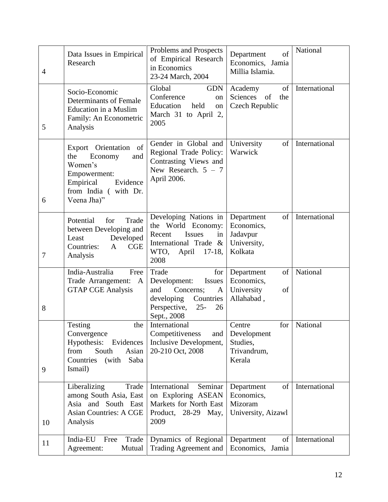| $\overline{4}$ | Data Issues in Empirical<br>Research                                                                                                         | Problems and Prospects<br>of Empirical Research<br>in Economics<br>23-24 March, 2004                                                          | of<br>Department<br>Economics, Jamia<br>Millia Islamia.                        | National      |
|----------------|----------------------------------------------------------------------------------------------------------------------------------------------|-----------------------------------------------------------------------------------------------------------------------------------------------|--------------------------------------------------------------------------------|---------------|
| 5              | Socio-Economic<br><b>Determinants of Female</b><br><b>Education in a Muslim</b><br>Family: An Econometric<br>Analysis                        | Global<br><b>GDN</b><br>Conference<br>on<br>Education<br>held<br>on<br>March 31 to April 2,<br>2005                                           | of<br>Academy<br>of<br>Sciences<br>the<br>Czech Republic                       | International |
| 6              | of<br>Export Orientation<br>the<br>Economy<br>and<br>Women's<br>Empowerment:<br>Empirical<br>Evidence<br>from India (with Dr.<br>Veena Jha)" | Gender in Global and<br>Regional Trade Policy:<br>Contrasting Views and<br>New Research. $5 - 7$<br>April 2006.                               | University<br>of<br>Warwick                                                    | International |
| $\tau$         | for<br>Trade<br>Potential<br>between Developing and<br>Developed<br>Least<br>Countries:<br>CGE<br>$\mathbf{A}$<br>Analysis                   | Developing Nations in<br>the World Economy:<br><b>Issues</b><br>Recent<br>in<br>International Trade &<br>WTO,<br>April<br>$17-18$ ,<br>2008   | Department<br>of<br>Economics,<br>Jadavpur<br>University,<br>Kolkata           | International |
| 8              | India-Australia<br>Free<br>Trade Arrangement: A<br><b>GTAP CGE Analysis</b>                                                                  | Trade<br>for<br>Development:<br><b>Issues</b><br>and<br>Concerns;<br>A<br>developing Countries<br>Perspective,<br>$25 -$<br>26<br>Sept., 2008 | Department<br>of<br>Economics,<br>University<br>of<br>Allahabad,               | National      |
| 9              | Testing<br>the<br>Convergence<br>Hypothesis:<br>Evidences<br>South<br>Asian<br>from<br>Countries<br>(with<br>Saba<br>Ismail)                 | International<br>Competitiveness<br>and<br>Inclusive Development,<br>20-210 Oct, 2008                                                         | Centre<br>for <sub>1</sub><br>Development<br>Studies,<br>Trivandrum,<br>Kerala | National      |
| 10             | Liberalizing<br>Trade<br>among South Asia, East<br>Asia and South East<br><b>Asian Countries: A CGE</b><br>Analysis                          | International<br>Seminar<br>on Exploring ASEAN<br>Markets for North East<br>Product, 28-29 May,<br>2009                                       | Department<br>of<br>Economics,<br>Mizoram<br>University, Aizawl                | International |
| 11             | India-EU<br>Trade<br>Free<br>Agreement:<br>Mutual                                                                                            | Dynamics of Regional<br>Trading Agreement and                                                                                                 | Department<br>of<br>Economics, Jamia                                           | International |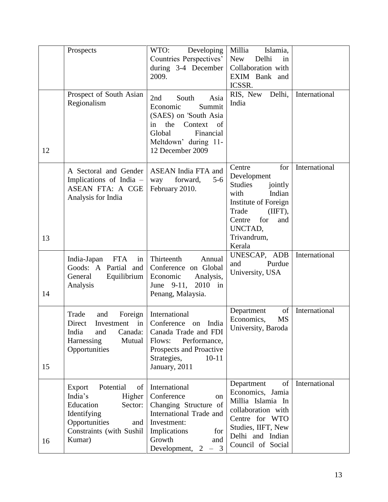|    | Prospects                                                                                                                                           | WTO:<br>Developing<br>Countries Perspectives'<br>during 3-4 December                                                                                                   | Millia<br>Islamia,<br>New<br>Delhi<br>in<br>Collaboration with                                                                                                               |               |
|----|-----------------------------------------------------------------------------------------------------------------------------------------------------|------------------------------------------------------------------------------------------------------------------------------------------------------------------------|------------------------------------------------------------------------------------------------------------------------------------------------------------------------------|---------------|
|    |                                                                                                                                                     | 2009.                                                                                                                                                                  | EXIM Bank and<br>ICSSR.                                                                                                                                                      |               |
| 12 | Prospect of South Asian<br>Regionalism                                                                                                              | South<br>Asia<br>2nd<br>Economic<br>Summit<br>(SAES) on 'South Asia<br>the<br>Context<br>in<br>of<br>Global<br>Financial<br>Meltdown' during 11-<br>12 December 2009   | RIS, New Delhi,<br>India                                                                                                                                                     | International |
| 13 | A Sectoral and Gender<br>Implications of India -<br>ASEAN FTA: A CGE<br>Analysis for India                                                          | <b>ASEAN</b> India FTA and<br>$5-6$<br>forward,<br>way<br>February 2010.                                                                                               | Centre<br>for<br>Development<br>Studies<br>jointly<br>Indian<br>with<br>Institute of Foreign<br>Trade<br>(IIFT),<br>for<br>Centre<br>and<br>UNCTAD,<br>Trivandrum,<br>Kerala | International |
| 14 | India-Japan<br><b>FTA</b><br>in<br>Goods: A Partial and<br>Equilibrium<br>General<br>Analysis                                                       | Thirteenth<br>Annual<br>Conference on Global<br>Economic<br>Analysis,<br>June 9-11,<br>$2010$ in<br>Penang, Malaysia.                                                  | UNESCAP, ADB<br>Purdue<br>and<br>University, USA                                                                                                                             | International |
| 15 | Trade<br>and<br>Foreign<br>Direct<br>Investment<br>in<br>India<br>and<br>Canada:<br>Mutual<br>Harnessing<br>Opportunities                           | International<br>Conference<br>India<br>on<br>Canada Trade and FDI<br>Performance,<br>Flows:<br>Prospects and Proactive<br>Strategies,<br>$10-11$<br>January, 2011     | of<br>Department<br>Economics,<br><b>MS</b><br>University, Baroda                                                                                                            | International |
| 16 | Potential<br>Export<br>of<br>India's<br>Higher<br>Education<br>Sector:<br>Identifying<br>Opportunities<br>and<br>Constraints (with Sushil<br>Kumar) | International<br>Conference<br>on<br>Changing Structure of<br>International Trade and<br>Investment:<br>Implications<br>for<br>Growth<br>and<br>Development, 2<br>$-3$ | Department<br>of<br>Economics, Jamia<br>Millia Islamia In<br>collaboration with<br>Centre for WTO<br>Studies, IIFT, New<br>Delhi and Indian<br>Council of Social             | International |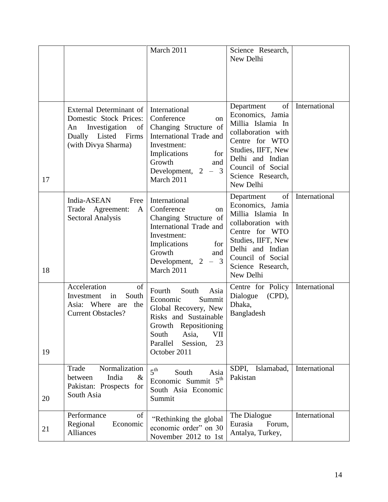|    |                                                                                                                                 | March 2011                                                                                                                                                                                      | Science Research,<br>New Delhi                                                                                                                                                                     |               |
|----|---------------------------------------------------------------------------------------------------------------------------------|-------------------------------------------------------------------------------------------------------------------------------------------------------------------------------------------------|----------------------------------------------------------------------------------------------------------------------------------------------------------------------------------------------------|---------------|
| 17 | External Determinant of<br>Domestic Stock Prices:<br>Investigation<br>An<br>of<br>Dually Listed<br>Firms<br>(with Divya Sharma) | International<br>Conference<br><sub>on</sub><br>Changing Structure of<br>International Trade and<br>Investment:<br>Implications<br>for<br>Growth<br>and<br>Development, $2 - 3$<br>March 2011   | Department<br>of<br>Economics, Jamia<br>Millia Islamia In<br>collaboration with<br>Centre for WTO<br>Studies, IIFT, New<br>Delhi and Indian<br>Council of Social<br>Science Research,<br>New Delhi | International |
| 18 | India-ASEAN<br>Free<br>Trade Agreement:<br>$\mathbf{A}$<br><b>Sectoral Analysis</b>                                             | International<br>Conference<br><sub>on</sub><br>Changing Structure of<br>International Trade and<br>Investment:<br>Implications<br>for<br>Growth<br>and<br>$-3$<br>Development, 2<br>March 2011 | of<br>Department<br>Economics, Jamia<br>Millia Islamia In<br>collaboration with<br>Centre for WTO<br>Studies, IIFT, New<br>Delhi and Indian<br>Council of Social<br>Science Research,<br>New Delhi | International |
| 19 | Acceleration<br>of<br>South<br>Investment<br>in<br>Asia: Where<br>the<br>are<br><b>Current Obstacles?</b>                       | South<br>Fourth<br>Asia<br>Economic<br>Summit<br>Global Recovery, New<br>Risks and Sustainable<br>Growth Repositioning<br>Asia,<br>VII<br>South<br>Parallel<br>Session,<br>23<br>October 2011   | Centre for Policy<br>Dialogue<br>(CPD),<br>Dhaka,<br>Bangladesh                                                                                                                                    | International |
| 20 | Normalization<br>Trade<br>India<br>between<br>$\&$<br>Pakistan: Prospects for<br>South Asia                                     | 5 <sup>th</sup><br>Asia<br>South<br>Economic Summit 5 <sup>th</sup><br>South Asia Economic<br>Summit                                                                                            | SDPI,<br>Islamabad,<br>Pakistan                                                                                                                                                                    | International |
| 21 | Performance<br>of<br>Regional<br>Economic<br>Alliances                                                                          | "Rethinking the global<br>economic order" on 30<br>November 2012 to 1st                                                                                                                         | The Dialogue<br>Eurasia<br>Forum,<br>Antalya, Turkey,                                                                                                                                              | International |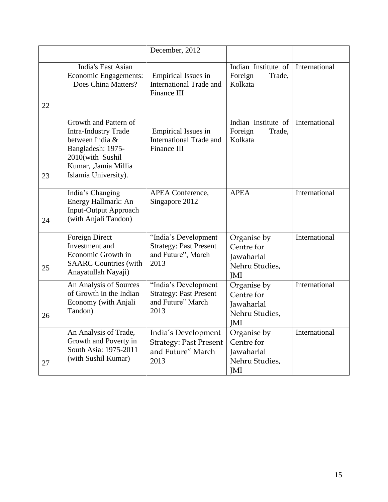|    |                                                                                                                                                                  | December, 2012                                                                      |                                                                         |               |
|----|------------------------------------------------------------------------------------------------------------------------------------------------------------------|-------------------------------------------------------------------------------------|-------------------------------------------------------------------------|---------------|
| 22 | India's East Asian<br>Economic Engagements:<br>Does China Matters?                                                                                               | <b>Empirical Issues in</b><br><b>International Trade and</b><br><b>Finance III</b>  | Indian Institute of<br>Foreign<br>Trade,<br>Kolkata                     | International |
| 23 | Growth and Pattern of<br><b>Intra-Industry Trade</b><br>between India &<br>Bangladesh: 1975-<br>2010(with Sushil<br>Kumar, ,Jamia Millia<br>Islamia University). | <b>Empirical Issues in</b><br><b>International Trade and</b><br>Finance III         | Indian Institute of<br>Foreign<br>Trade,<br>Kolkata                     | International |
| 24 | India's Changing<br>Energy Hallmark: An<br><b>Input-Output Approach</b><br>(with Anjali Tandon)                                                                  | APEA Conference,<br>Singapore 2012                                                  | <b>APEA</b>                                                             | International |
| 25 | Foreign Direct<br>Investment and<br>Economic Growth in<br><b>SAARC Countries (with</b><br>Anayatullah Nayaji)                                                    | "India's Development<br><b>Strategy: Past Present</b><br>and Future", March<br>2013 | Organise by<br>Centre for<br>Jawaharlal<br>Nehru Studies,<br><b>JMI</b> | International |
| 26 | An Analysis of Sources<br>of Growth in the Indian<br>Economy (with Anjali<br>Tandon)                                                                             | "India's Development<br><b>Strategy: Past Present</b><br>and Future" March<br>2013  | Organise by<br>Centre for<br>Jawaharlal<br>Nehru Studies,<br>JMI        | International |
| 27 | An Analysis of Trade,<br>Growth and Poverty in<br>South Asia: 1975-2011<br>(with Sushil Kumar)                                                                   | India's Development<br><b>Strategy: Past Present</b><br>and Future" March<br>2013   | Organise by<br>Centre for<br>Jawaharlal<br>Nehru Studies,<br>JMI        | International |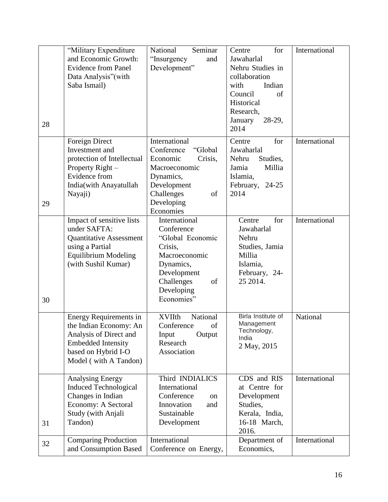| 28 | "Military Expenditure<br>and Economic Growth:<br><b>Evidence from Panel</b><br>Data Analysis"(with<br>Saba Ismail)                                             | National<br>Seminar<br>"Insurgency<br>and<br>Development"                                                                                                 | for<br>Centre<br>Jawaharlal<br>Nehru Studies in<br>collaboration<br>with<br>Indian<br>Council<br>of<br>Historical<br>Research,<br>January<br>$28-29,$<br>2014 | International |
|----|----------------------------------------------------------------------------------------------------------------------------------------------------------------|-----------------------------------------------------------------------------------------------------------------------------------------------------------|---------------------------------------------------------------------------------------------------------------------------------------------------------------|---------------|
| 29 | Foreign Direct<br>Investment and<br>protection of Intellectual<br>Property Right -<br><b>Evidence</b> from<br>India(with Anayatullah<br>Nayaji)                | International<br>Conference<br>"Global<br>Economic<br>Crisis,<br>Macroeconomic<br>Dynamics,<br>Development<br>Challenges<br>of<br>Developing<br>Economies | for<br>Centre<br>Jawaharlal<br>Nehru<br>Studies,<br>Jamia<br>Millia<br>Islamia,<br>February,<br>$24 - 25$<br>2014                                             | International |
| 30 | Impact of sensitive lists<br>under SAFTA:<br><b>Quantitative Assessment</b><br>using a Partial<br><b>Equilibrium Modeling</b><br>(with Sushil Kumar)           | International<br>Conference<br>"Global Economic<br>Crisis,<br>Macroeconomic<br>Dynamics,<br>Development<br>Challenges<br>of<br>Developing<br>Economies"   | for<br>Centre<br>Jawaharlal<br>Nehru<br>Studies, Jamia<br>Millia<br>Islamia,<br>February, 24-<br>25 2014.                                                     | International |
|    | <b>Energy Requirements in</b><br>the Indian Economy: An<br>Analysis of Direct and<br><b>Embedded Intensity</b><br>based on Hybrid I-O<br>Model (with A Tandon) | National<br><b>XVIIth</b><br>of<br>Conference<br>Output<br>Input<br>Research<br>Association                                                               | Birla Institute of<br>Management<br>Technology,<br>India<br>2 May, 2015                                                                                       | National      |
| 31 | <b>Analysing Energy</b><br><b>Induced Technological</b><br>Changes in Indian<br>Economy: A Sectoral<br>Study (with Anjali<br>Tandon)                           | Third INDIALICS<br>International<br>Conference<br>on<br>Innovation<br>and<br>Sustainable<br>Development                                                   | CDS and RIS<br>at Centre for<br>Development<br>Studies,<br>Kerala, India,<br>16-18 March,<br>2016.                                                            | International |
| 32 | <b>Comparing Production</b><br>and Consumption Based                                                                                                           | International<br>Conference on Energy,                                                                                                                    | Department of<br>Economics,                                                                                                                                   | International |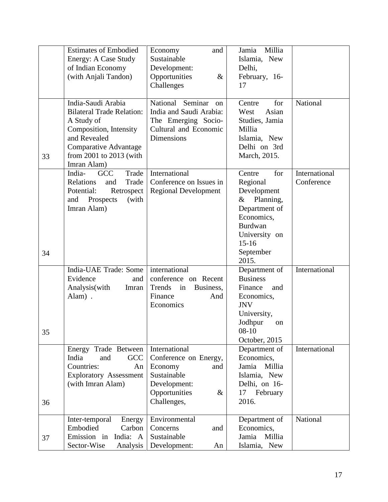|    | <b>Estimates of Embodied</b>           | Economy<br>and                             | Millia<br>Jamia              |               |
|----|----------------------------------------|--------------------------------------------|------------------------------|---------------|
|    | Energy: A Case Study                   | Sustainable                                | Islamia, New                 |               |
|    | of Indian Economy                      | Development:                               | Delhi,                       |               |
|    | (with Anjali Tandon)                   | Opportunities<br>&                         | February, 16-                |               |
|    |                                        | Challenges                                 | 17                           |               |
|    | India-Saudi Arabia                     | National Seminar<br><sub>on</sub>          | for<br>Centre                | National      |
|    | <b>Bilateral Trade Relation:</b>       | India and Saudi Arabia:                    | Asian<br>West                |               |
|    | A Study of                             | The Emerging Socio-                        | Studies, Jamia               |               |
|    | Composition, Intensity<br>and Revealed | Cultural and Economic<br><b>Dimensions</b> | Millia                       |               |
|    | <b>Comparative Advantage</b>           |                                            | Islamia, New<br>Delhi on 3rd |               |
|    | from 2001 to 2013 (with                |                                            | March, 2015.                 |               |
| 33 | Imran Alam)                            |                                            |                              |               |
|    | <b>GCC</b><br>Trade<br>India-          | International                              | for<br>Centre                | International |
|    | Relations<br>Trade<br>and              | Conference on Issues in                    | Regional                     | Conference    |
|    | Potential:<br>Retrospect               | <b>Regional Development</b>                | Development                  |               |
|    | and Prospects<br>(with                 |                                            | Planning,<br>$\&$            |               |
|    | Imran Alam)                            |                                            | Department of                |               |
|    |                                        |                                            | Economics,<br><b>Burdwan</b> |               |
|    |                                        |                                            | University on                |               |
|    |                                        |                                            | $15-16$                      |               |
| 34 |                                        |                                            | September                    |               |
|    |                                        |                                            | 2015.                        |               |
|    | India-UAE Trade: Some                  | international                              | Department of                | International |
|    | Evidence<br>and                        | conference on Recent                       | <b>Business</b>              |               |
|    | Analysis (with<br>Imran                | Trends in<br>Business,                     | Finance<br>and               |               |
|    | Alam).                                 | Finance<br>And<br>Economics                | Economics,<br><b>JNV</b>     |               |
|    |                                        |                                            | University,                  |               |
|    |                                        |                                            | Jodhpur<br>on                |               |
| 35 |                                        |                                            | $08-10$                      |               |
|    |                                        |                                            | October, 2015                |               |
|    | Energy Trade Between                   | International                              | Department of                | International |
|    | GCC<br>India<br>and                    | Conference on Energy,                      | Economics,                   |               |
|    | Countries:<br>An                       | Economy<br>and                             | Jamia Millia                 |               |
|    | <b>Exploratory Assessment</b>          | Sustainable                                | Islamia, New                 |               |
|    | (with Imran Alam)                      | Development:                               | Delhi, on 16-                |               |
|    |                                        | Opportunities<br>&                         | February<br>17<br>2016.      |               |
| 36 |                                        | Challenges,                                |                              |               |
|    | Inter-temporal<br>Energy               | Environmental                              | Department of                | National      |
|    | Embodied<br>Carbon                     | Concerns<br>and                            | Economics,                   |               |
| 37 | Emission in<br>India: A                | Sustainable                                | Jamia<br>Millia              |               |
|    | Sector-Wise<br>Analysis                | Development:<br>An                         | Islamia, New                 |               |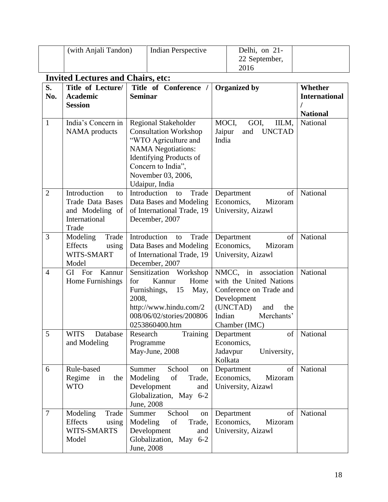|                | (with Anjali Tandon)                                                                       |                    | <b>Indian Perspective</b>                                                                                                                                                                                        |                          | Delhi, on 21-<br>22 September,<br>2016                                                                                                             |                                                    |
|----------------|--------------------------------------------------------------------------------------------|--------------------|------------------------------------------------------------------------------------------------------------------------------------------------------------------------------------------------------------------|--------------------------|----------------------------------------------------------------------------------------------------------------------------------------------------|----------------------------------------------------|
|                | <b>Invited Lectures and Chairs, etc:</b>                                                   |                    |                                                                                                                                                                                                                  |                          |                                                                                                                                                    |                                                    |
| S.<br>No.      | Title of Lecture/<br><b>Academic</b><br><b>Session</b>                                     | <b>Seminar</b>     | Title of Conference /                                                                                                                                                                                            |                          | <b>Organized by</b>                                                                                                                                | Whether<br><b>International</b><br><b>National</b> |
| $\mathbf{1}$   | India's Concern in<br><b>NAMA</b> products                                                 |                    | <b>Regional Stakeholder</b><br><b>Consultation Workshop</b><br>"WTO Agriculture and<br><b>NAMA</b> Negotiations:<br><b>Identifying Products of</b><br>Concern to India",<br>November 03, 2006,<br>Udaipur, India | MOCI,<br>Jaipur<br>India | GOI,<br>IILM,<br><b>UNCTAD</b><br>and                                                                                                              | National                                           |
| $\overline{2}$ | Introduction<br>to<br><b>Trade Data Bases</b><br>and Modeling of<br>International<br>Trade |                    | Introduction<br>Trade<br>to<br>Data Bases and Modeling<br>of International Trade, 19<br>December, 2007                                                                                                           |                          | Department<br>of<br>Economics,<br>Mizoram<br>University, Aizawl                                                                                    | National                                           |
| 3              | Trade<br>Modeling<br>Effects<br>using<br>WITS-SMART<br>Model                               |                    | Introduction<br>Trade<br>to<br>Data Bases and Modeling<br>of International Trade, 19<br>December, 2007                                                                                                           |                          | of<br>Department<br>Economics,<br>Mizoram<br>University, Aizawl                                                                                    | National                                           |
| $\overline{4}$ | Kannur<br>GI For<br>Home Furnishings                                                       | for<br>2008,       | Sensitization Workshop<br>Kannur<br>Home<br>Furnishings, 15<br>May,<br>http://www.hindu.com/2<br>008/06/02/stories/200806<br>0253860400.htm                                                                      | Indian                   | NMCC, in association<br>with the United Nations<br>Conference on Trade and<br>Development<br>(UNCTAD)<br>and<br>the<br>Merchants'<br>Chamber (IMC) | National                                           |
| 5              | <b>WITS</b><br>Database<br>and Modeling                                                    | Research           | Training<br>Programme<br>May-June, 2008                                                                                                                                                                          |                          | Department<br>of<br>Economics,<br>Jadavpur<br>University,<br>Kolkata                                                                               | National                                           |
| 6              | Rule-based<br>Regime<br>in<br>the<br><b>WTO</b>                                            | Summer<br>Modeling | School<br>on<br>of<br>Trade,<br>Development<br>and<br>Globalization, May 6-2<br>June, 2008                                                                                                                       |                          | of<br>Department<br>Economics,<br>Mizoram<br>University, Aizawl                                                                                    | National                                           |
| 7              | Modeling<br>Trade<br>Effects<br>using<br>WITS-SMARTS<br>Model                              | Summer<br>Modeling | School<br>on<br>of<br>Trade,<br>Development<br>and<br>Globalization, May 6-2<br>June, 2008                                                                                                                       |                          | Department<br>of<br>Economics,<br>Mizoram<br>University, Aizawl                                                                                    | National                                           |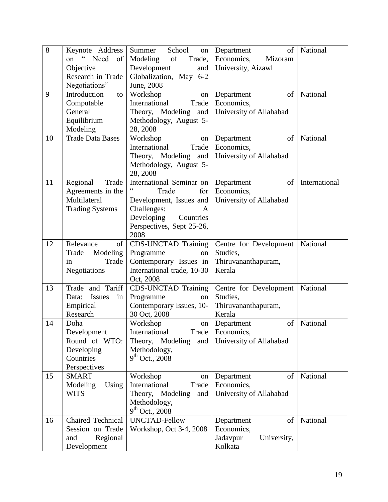| 8  | Keynote Address                    | Summer<br>School<br>on       | of<br>Department        | National      |
|----|------------------------------------|------------------------------|-------------------------|---------------|
|    | $\zeta\,\zeta$<br>Need<br>on<br>of | Modeling of<br>Trade,        | Economics,<br>Mizoram   |               |
|    | Objective                          | Development<br>and           | University, Aizawl      |               |
|    | Research in Trade                  | Globalization, May 6-2       |                         |               |
|    | Negotiations"                      | June, 2008                   |                         |               |
| 9  | Introduction<br>$\mathsf{to}$      | Workshop<br>on               | of<br>Department        | National      |
|    | Computable                         | International<br>Trade       | Economics,              |               |
|    | General                            | Theory, Modeling and         | University of Allahabad |               |
|    | Equilibrium                        | Methodology, August 5-       |                         |               |
|    | Modeling                           | 28, 2008                     |                         |               |
| 10 | <b>Trade Data Bases</b>            | Workshop<br>on               | Department<br>of        | National      |
|    |                                    | International<br>Trade       | Economics,              |               |
|    |                                    | Theory, Modeling and         | University of Allahabad |               |
|    |                                    | Methodology, August 5-       |                         |               |
|    |                                    | 28, 2008                     |                         |               |
| 11 | Regional<br>Trade                  | International Seminar on     | Department<br>of        | International |
|    | Agreements in the                  | Trade<br>for                 | Economics,              |               |
|    | Multilateral                       | Development, Issues and      | University of Allahabad |               |
|    | <b>Trading Systems</b>             | Challenges:<br>A             |                         |               |
|    |                                    | Developing<br>Countries      |                         |               |
|    |                                    | Perspectives, Sept 25-26,    |                         |               |
|    |                                    | 2008                         |                         |               |
| 12 | Relevance<br>$\sigma$              | <b>CDS-UNCTAD Training</b>   | Centre for Development  | National      |
|    | Modeling<br>Trade                  | Programme                    | Studies,                |               |
|    | Trade<br>in                        | on<br>Contemporary Issues in | Thiruvananthapuram,     |               |
|    | Negotiations                       | International trade, 10-30   | Kerala                  |               |
|    |                                    | Oct, 2008                    |                         |               |
| 13 | Trade and Tariff                   | <b>CDS-UNCTAD Training</b>   | Centre for Development  | National      |
|    | Issues<br>Data:<br>in              | Programme<br>on              | Studies,                |               |
|    | Empirical                          | Contemporary Issues, 10-     | Thiruvananthapuram,     |               |
|    | Research                           | 30 Oct, 2008                 | Kerala                  |               |
| 14 | Doha                               | Workshop<br>on               | of<br>Department        | National      |
|    | Development                        | Trade<br>International       | Economics,              |               |
|    | Round of WTO:                      | Theory, Modeling<br>and      | University of Allahabad |               |
|    | Developing                         | Methodology,                 |                         |               |
|    | Countries                          | $9^{th}$ Oct., 2008          |                         |               |
|    | Perspectives                       |                              |                         |               |
| 15 | <b>SMART</b>                       | Workshop<br>on               | Department<br>of        | National      |
|    | Modeling<br>Using                  | International<br>Trade       | Economics,              |               |
|    | <b>WITS</b>                        | Theory, Modeling and         | University of Allahabad |               |
|    |                                    | Methodology,                 |                         |               |
|    |                                    | $9^{th}$ Oct., 2008          |                         |               |
| 16 | Chaired Technical                  | <b>UNCTAD-Fellow</b>         | of<br>Department        | National      |
|    | Session on Trade                   | Workshop, Oct 3-4, 2008      | Economics,              |               |
|    | Regional<br>and                    |                              | Jadavpur<br>University, |               |
|    | Development                        |                              | Kolkata                 |               |
|    |                                    |                              |                         |               |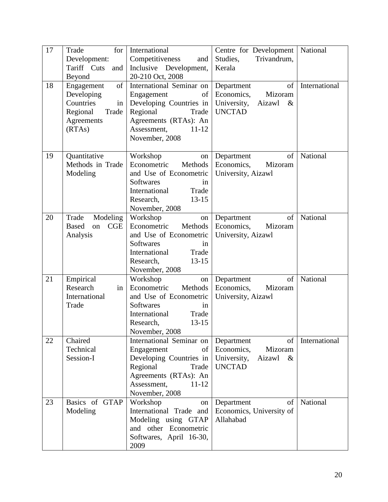| 17 | for <sub>1</sub><br>Trade   | International                                | Centre for Development                    | National      |
|----|-----------------------------|----------------------------------------------|-------------------------------------------|---------------|
|    | Development:                | Competitiveness<br>and                       | Trivandrum,<br>Studies,                   |               |
|    | Tariff Cuts<br>and          | Inclusive Development,                       | Kerala                                    |               |
|    | Beyond                      | 20-210 Oct, 2008                             |                                           |               |
| 18 | of<br>Engagement            | International Seminar on                     | of<br>Department                          | International |
|    | Developing                  | Engagement<br>of                             | Economics,<br>Mizoram                     |               |
|    | Countries<br>in             | Developing Countries in                      | University,<br>Aizawl<br>$\&$             |               |
|    | Regional<br>Trade           | Regional<br>Trade                            | <b>UNCTAD</b>                             |               |
|    | Agreements                  | Agreements (RTAs): An                        |                                           |               |
|    | (RTAs)                      | Assessment,<br>$11 - 12$                     |                                           |               |
|    |                             | November, 2008                               |                                           |               |
| 19 | Quantitative                | Workshop<br>on                               | Department<br>of                          | National      |
|    | Methods in Trade            | Econometric<br>Methods                       | Economics,<br>Mizoram                     |               |
|    | Modeling                    | and Use of Econometric                       | University, Aizawl                        |               |
|    |                             | <b>Softwares</b><br>in                       |                                           |               |
|    |                             | International<br>Trade                       |                                           |               |
|    |                             | $13 - 15$<br>Research,                       |                                           |               |
|    |                             | November, 2008                               |                                           |               |
| 20 | Modeling<br>Trade           | Workshop<br>on                               | of<br>Department                          | National      |
|    | <b>Based</b><br>CGE<br>on   | Econometric<br>Methods                       | Economics,<br>Mizoram                     |               |
|    | Analysis                    | and Use of Econometric                       | University, Aizawl                        |               |
|    |                             | <b>Softwares</b><br>in                       |                                           |               |
|    |                             | International<br>Trade                       |                                           |               |
|    |                             | $13-15$<br>Research,                         |                                           |               |
|    |                             | November, 2008                               |                                           |               |
| 21 | Empirical<br>Research<br>in | Workshop<br>on<br>Econometric<br>Methods     | Department<br>of<br>Economics,<br>Mizoram | National      |
|    | International               | and Use of Econometric                       | University, Aizawl                        |               |
|    | Trade                       | <b>Softwares</b><br>in                       |                                           |               |
|    |                             | International<br>Trade                       |                                           |               |
|    |                             | Research,<br>$13 - 15$                       |                                           |               |
|    |                             | November, 2008                               |                                           |               |
| 22 | Chaired                     | International Seminar on                     | of<br>Department                          | International |
|    | Technical                   | Engagement<br>of                             | Economics,<br>Mizoram                     |               |
|    | Session-I                   | Developing Countries in                      | University,<br>Aizawl<br>$\&$             |               |
|    |                             | Regional<br>Trade                            | <b>UNCTAD</b>                             |               |
|    |                             | Agreements (RTAs): An                        |                                           |               |
|    |                             | Assessment,<br>$11 - 12$                     |                                           |               |
|    |                             | November, 2008                               |                                           |               |
| 23 | Basics of GTAP              | Workshop<br>on                               | of<br>Department                          | National      |
|    | Modeling                    | International Trade and                      | Economics, University of                  |               |
|    |                             | Modeling using GTAP<br>and other Econometric | Allahabad                                 |               |
|    |                             |                                              |                                           |               |
|    |                             | Softwares, April 16-30,                      |                                           |               |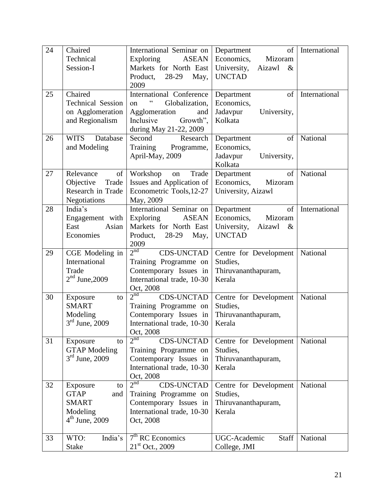| 24 | Chaired                                  | International Seminar on   Department                | of                            | International |
|----|------------------------------------------|------------------------------------------------------|-------------------------------|---------------|
|    | Technical                                | Exploring<br><b>ASEAN</b>                            | Economics,<br>Mizoram         |               |
|    | Session-I                                | Markets for North East                               | University,<br>Aizawl<br>$\&$ |               |
|    |                                          | Product,<br>28-29<br>May,                            | <b>UNCTAD</b>                 |               |
|    |                                          | 2009                                                 |                               |               |
| 25 | Chaired                                  | International Conference                             | of<br>Department              | International |
|    | <b>Technical Session</b>                 | $\zeta\,\zeta$<br>Globalization,<br>on               | Economics,                    |               |
|    | on Agglomeration                         | Agglomeration<br>and                                 | Jadavpur<br>University,       |               |
|    | and Regionalism                          | Inclusive<br>Growth",                                | Kolkata                       |               |
|    |                                          | during May 21-22, 2009                               |                               |               |
| 26 | <b>WITS</b><br>Database                  | Second<br>Research                                   | of<br>Department              | National      |
|    | and Modeling                             | Training Programme,                                  | Economics,                    |               |
|    |                                          | April-May, 2009                                      | Jadavpur<br>University,       |               |
|    |                                          |                                                      | Kolkata                       |               |
| 27 | Relevance<br>of                          | Workshop<br>Trade<br>on                              | of<br>Department              | National      |
|    | Objective<br>Trade<br>Research in Trade  | Issues and Application of                            | Economics,<br>Mizoram         |               |
|    | <b>Negotiations</b>                      | Econometric Tools, 12-27<br>May, 2009                | University, Aizawl            |               |
| 28 | India's                                  | International Seminar on                             | of<br>Department              | International |
|    | Engagement with                          | <b>ASEAN</b><br>Exploring                            | Economics,<br>Mizoram         |               |
|    | East<br>Asian                            | Markets for North East                               | University,<br>Aizawl<br>$\&$ |               |
|    | Economies                                | Product,<br>28-29<br>May,                            | <b>UNCTAD</b>                 |               |
|    |                                          | 2009                                                 |                               |               |
| 29 | CGE Modeling in                          | $2^{nd}$<br><b>CDS-UNCTAD</b>                        | Centre for Development        | National      |
|    | International                            | Training Programme on                                | Studies,                      |               |
|    | Trade                                    | Contemporary Issues in                               | Thiruvananthapuram,           |               |
|    | $2nd$ June, 2009                         | International trade, 10-30                           | Kerala                        |               |
|    |                                          | Oct, 2008                                            |                               |               |
| 30 | Exposure<br>to                           | 2 <sup>nd</sup><br><b>CDS-UNCTAD</b>                 | Centre for Development        | National      |
|    | <b>SMART</b>                             | Training Programme on                                | Studies,                      |               |
|    | Modeling                                 | Contemporary Issues in                               | Thiruvananthapuram,           |               |
|    | $3rd$ June, 2009                         | International trade, 10-30                           | Kerala                        |               |
|    |                                          | Oct, 2008<br>$2^{nd}$                                |                               |               |
| 31 | Exposure<br>to                           | <b>CDS-UNCTAD</b>                                    | Centre for Development        | National      |
|    | <b>GTAP</b> Modeling<br>$3rd$ June, 2009 | Training Programme on                                | Studies,                      |               |
|    |                                          | Contemporary Issues in<br>International trade, 10-30 | Thiruvananthapuram,<br>Kerala |               |
|    |                                          | Oct, 2008                                            |                               |               |
| 32 | Exposure<br>to                           | 2 <sup>nd</sup><br><b>CDS-UNCTAD</b>                 | Centre for Development        | National      |
|    | <b>GTAP</b><br>and                       | Training Programme on                                | Studies,                      |               |
|    | <b>SMART</b>                             | Contemporary Issues in                               | Thiruvananthapuram,           |               |
|    | Modeling                                 | International trade, 10-30                           | Kerala                        |               |
|    | $4th$ June, 2009                         | Oct, 2008                                            |                               |               |
|    |                                          |                                                      |                               |               |
| 33 | India's<br>WTO:                          | $7th$ RC Economics                                   | UGC-Academic<br>Staff         | National      |
|    | <b>Stake</b>                             | $21^{\rm st}$ Oct., 2009                             | College, JMI                  |               |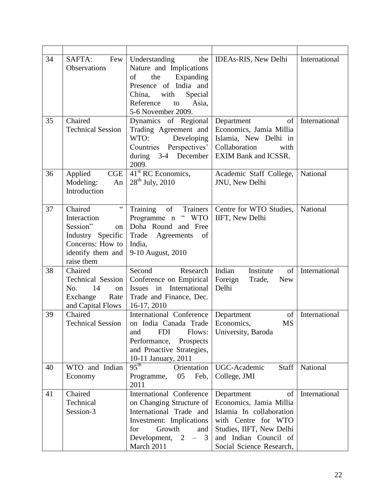| 34 | SAFTA:<br>Few<br>Observations                                                                                                          | Understanding<br>Nature and Implications<br>of<br>the<br>Expanding<br>Presence of India and<br>Special<br>China,<br>with<br>Reference<br>Asia,<br>to<br>5-6 November 2009.                                 | the   IDEAs-RIS, New Delhi                                                                                                                                                      | International |
|----|----------------------------------------------------------------------------------------------------------------------------------------|------------------------------------------------------------------------------------------------------------------------------------------------------------------------------------------------------------|---------------------------------------------------------------------------------------------------------------------------------------------------------------------------------|---------------|
| 35 | Chaired<br><b>Technical Session</b>                                                                                                    | Dynamics of Regional<br>Trading Agreement and<br>Developing<br>WTO:<br>Countries Perspectives'<br>during 3-4 December<br>2009.                                                                             | of<br>Department<br>Economics, Jamia Millia<br>Islamia, New Delhi in<br>Collaboration<br>with<br>EXIM Bank and ICSSR.                                                           | International |
| 36 | Applied<br>CGE<br>Modeling:<br>An<br>Introduction                                                                                      | 41 <sup>st</sup> RC Economics,<br>$28^{th}$ July, 2010                                                                                                                                                     | Academic Staff College,<br>JNU, New Delhi                                                                                                                                       | National      |
| 37 | $\zeta\,\zeta$<br>Chaired<br>Interaction<br>Session"<br>on<br>Industry Specific<br>Concerns: How to<br>identify them and<br>raise them | Training<br>of<br>Trainers<br>$\lq\lq$ WTO<br>Programme n<br>Doha Round and Free<br>Trade<br>Agreements<br>of<br>India,<br>9-10 August, 2010                                                               | Centre for WTO Studies,<br>IIFT, New Delhi                                                                                                                                      | National      |
| 38 | Chaired<br>Technical Session<br>14<br>No.<br>on<br>Exchange<br>Rate<br>and Capital Flows                                               | Second<br>Research<br>Conference on Empirical<br>International<br>Issues in<br>Trade and Finance, Dec.<br>16-17, 2010                                                                                      | Indian<br>Institute<br>of<br>Foreign<br>Trade,<br><b>New</b><br>Delhi                                                                                                           | International |
| 39 | Chaired<br><b>Technical Session</b>                                                                                                    | International Conference<br>on India Canada Trade<br>and<br><b>FDI</b><br>Flows:<br>Performance,<br>Prospects<br>and Proactive Strategies,<br>10-11 January, 2011                                          | of<br>Department<br>Economics,<br><b>MS</b><br>University, Baroda                                                                                                               | International |
| 40 | WTO and Indian<br>Economy                                                                                                              | $\overline{95}^{th}$<br>Orientation<br>05<br>Feb,<br>Programme,<br>2011                                                                                                                                    | UGC-Academic<br><b>Staff</b><br>College, JMI                                                                                                                                    | National      |
| 41 | Chaired<br>Technical<br>Session-3                                                                                                      | International Conference<br>on Changing Structure of<br>International Trade and<br>Investment: Implications<br>Growth<br>for<br>and<br>Development, 2<br>$\overline{\mathbf{3}}$<br>$\equiv$<br>March 2011 | Department<br>of<br>Economics, Jamia Millia<br>Islamia In collaboration<br>with Centre for WTO<br>Studies, IIFT, New Delhi<br>and Indian Council of<br>Social Science Research, | International |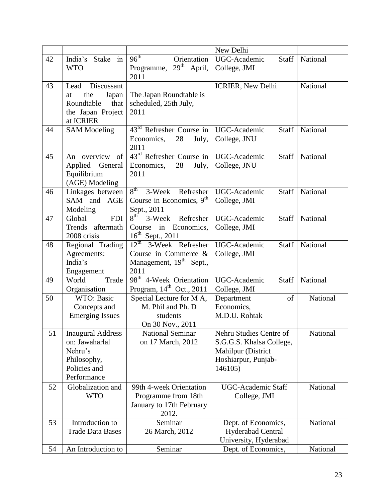|    |                                                                                                     |                                                                                                             | New Delhi                                                                                                   |          |
|----|-----------------------------------------------------------------------------------------------------|-------------------------------------------------------------------------------------------------------------|-------------------------------------------------------------------------------------------------------------|----------|
| 42 | India's Stake in<br><b>WTO</b>                                                                      | $96^{\text{th}}$<br>Orientation<br>Programme, $29th$<br>April,<br>2011                                      | UGC-Academic<br>Staff<br>College, JMI                                                                       | National |
| 43 | Discussant<br>Lead<br>the<br>Japan<br>at<br>Roundtable<br>that<br>the Japan Project<br>at ICRIER    | The Japan Roundtable is<br>scheduled, 25th July,<br>2011                                                    | <b>ICRIER, New Delhi</b>                                                                                    | National |
| 44 | <b>SAM Modeling</b>                                                                                 | $43rd$ Refresher Course in<br>28<br>Economics,<br>July,<br>2011                                             | UGC-Academic<br>Staff<br>College, JNU                                                                       | National |
| 45 | An overview of<br>Applied General<br>Equilibrium<br>(AGE) Modeling                                  | 43 <sup>rd</sup> Refresher Course in<br>28<br>Economics,<br>July,<br>2011                                   | UGC-Academic<br>Staff<br>College, JNU                                                                       | National |
| 46 | Linkages between<br>SAM and AGE<br>Modeling                                                         | $8^{\text{th}}$<br>3-Week<br>Refresher<br>Course in Economics, 9 <sup>th</sup><br>Sept., 2011               | UGC-Academic<br>Staff<br>College, JMI                                                                       | National |
| 47 | <b>FDI</b><br>Global<br>Trends aftermath<br>2008 crisis                                             | $8^{\text{th}}$<br>3-Week Refresher<br>Course in Economics,<br>$16^{th}$ Sept., 2011                        | UGC-Academic<br>Staff<br>College, JMI                                                                       | National |
| 48 | Regional Trading<br>Agreements:<br>India's<br>Engagement                                            | $12^{\text{th}}$ 3-Week Refresher<br>Course in Commerce $\&$<br>Management, 19 <sup>th</sup> Sept.,<br>2011 | UGC-Academic<br>Staff<br>College, JMI                                                                       | National |
| 49 | World<br>Trade<br>Organisation                                                                      | 98 <sup>th</sup> 4-Week Orientation<br>Program, $14th$ Oct., 2011                                           | UGC-Academic<br>Staff<br>College, JMI                                                                       | National |
| 50 | WTO: Basic<br>Concepts and<br><b>Emerging Issues</b>                                                | Special Lecture for MA,<br>M. Phil and Ph. D<br>students<br>On 30 Nov., 2011                                | Department<br>of<br>Economics,<br>M.D.U. Rohtak                                                             | National |
| 51 | <b>Inaugural Address</b><br>on: Jawaharlal<br>Nehru's<br>Philosophy,<br>Policies and<br>Performance | <b>National Seminar</b><br>on 17 March, 2012                                                                | Nehru Studies Centre of<br>S.G.G.S. Khalsa College,<br>Mahilpur (District<br>Hoshiarpur, Punjab-<br>146105) | National |
| 52 | Globalization and<br><b>WTO</b>                                                                     | 99th 4-week Orientation<br>Programme from 18th<br>January to 17th February<br>2012.                         | <b>UGC-Academic Staff</b><br>College, JMI                                                                   | National |
| 53 | Introduction to<br><b>Trade Data Bases</b>                                                          | Seminar<br>26 March, 2012                                                                                   | Dept. of Economics,<br>Hyderabad Central<br>University, Hyderabad                                           | National |
| 54 | An Introduction to                                                                                  | Seminar                                                                                                     | Dept. of Economics,                                                                                         | National |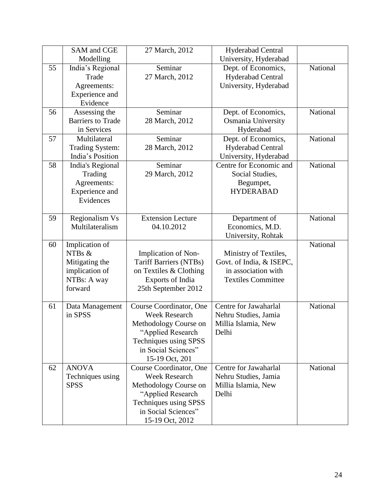|    | SAM and CGE              | 27 March, 2012                | <b>Hyderabad Central</b>  |          |
|----|--------------------------|-------------------------------|---------------------------|----------|
|    | Modelling                |                               | University, Hyderabad     |          |
| 55 | India's Regional         | Seminar                       | Dept. of Economics,       | National |
|    | Trade                    | 27 March, 2012                | <b>Hyderabad Central</b>  |          |
|    | Agreements:              |                               | University, Hyderabad     |          |
|    | Experience and           |                               |                           |          |
|    | Evidence                 |                               |                           |          |
| 56 | Assessing the            | Seminar                       | Dept. of Economics,       | National |
|    | <b>Barriers to Trade</b> | 28 March, 2012                | Osmania University        |          |
|    | in Services              |                               | Hyderabad                 |          |
| 57 | Multilateral             | Seminar                       | Dept. of Economics,       | National |
|    | <b>Trading System:</b>   | 28 March, 2012                | <b>Hyderabad Central</b>  |          |
|    | India's Position         |                               | University, Hyderabad     |          |
| 58 | India's Regional         | Seminar                       | Centre for Economic and   | National |
|    | Trading                  | 29 March, 2012                | Social Studies,           |          |
|    | Agreements:              |                               | Begumpet,                 |          |
|    | Experience and           |                               | <b>HYDERABAD</b>          |          |
|    | Evidences                |                               |                           |          |
|    |                          |                               |                           |          |
| 59 | Regionalism Vs           | <b>Extension Lecture</b>      | Department of             | National |
|    | Multilateralism          | 04.10.2012                    | Economics, M.D.           |          |
|    |                          |                               | University, Rohtak        |          |
| 60 | Implication of           |                               |                           | National |
|    | NTBs &                   | Implication of Non-           | Ministry of Textiles,     |          |
|    | Mitigating the           | <b>Tariff Barriers (NTBs)</b> | Govt. of India, & ISEPC,  |          |
|    | implication of           | on Textiles & Clothing        | in association with       |          |
|    | NTBs: A way              | Exports of India              | <b>Textiles Committee</b> |          |
|    | forward                  | 25th September 2012           |                           |          |
|    |                          |                               |                           |          |
| 61 | Data Management          | Course Coordinator, One       | Centre for Jawaharlal     | National |
|    | in SPSS                  | <b>Week Research</b>          | Nehru Studies, Jamia      |          |
|    |                          | Methodology Course on         | Millia Islamia, New       |          |
|    |                          | "Applied Research             | Delhi                     |          |
|    |                          | Techniques using SPSS         |                           |          |
|    |                          | in Social Sciences"           |                           |          |
|    |                          | 15-19 Oct, 201                |                           |          |
| 62 | <b>ANOVA</b>             | Course Coordinator, One       | Centre for Jawaharlal     | National |
|    | Techniques using         | <b>Week Research</b>          | Nehru Studies, Jamia      |          |
|    | <b>SPSS</b>              | Methodology Course on         | Millia Islamia, New       |          |
|    |                          | "Applied Research             | Delhi                     |          |
|    |                          | Techniques using SPSS         |                           |          |
|    |                          | in Social Sciences"           |                           |          |
|    |                          | 15-19 Oct, 2012               |                           |          |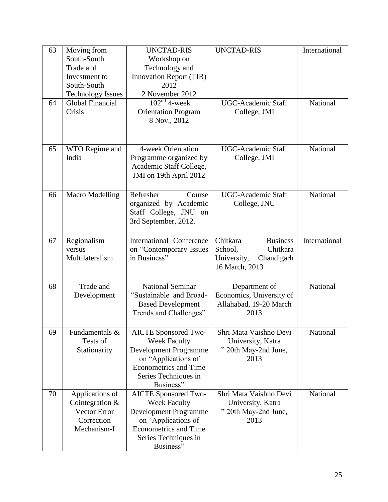| 63 | Moving from              | <b>UNCTAD-RIS</b>            | <b>UNCTAD-RIS</b>           | International |
|----|--------------------------|------------------------------|-----------------------------|---------------|
|    | South-South              | Workshop on                  |                             |               |
|    | Trade and                | Technology and               |                             |               |
|    | Investment to            | Innovation Report (TIR)      |                             |               |
|    | South-South              | 2012                         |                             |               |
|    | <b>Technology Issues</b> | 2 November 2012              |                             |               |
| 64 | Global Financial         | $102nd$ 4-week               | <b>UGC-Academic Staff</b>   | National      |
|    | Crisis                   | <b>Orientation Program</b>   | College, JMI                |               |
|    |                          | 8 Nov., 2012                 |                             |               |
|    |                          |                              |                             |               |
|    |                          |                              |                             |               |
|    |                          |                              |                             |               |
| 65 | WTO Regime and           | 4-week Orientation           | <b>UGC-Academic Staff</b>   | National      |
|    | India                    | Programme organized by       | College, JMI                |               |
|    |                          | Academic Staff College,      |                             |               |
|    |                          | JMI on 19th April 2012       |                             |               |
|    |                          |                              |                             |               |
| 66 | <b>Macro Modelling</b>   | Refresher<br>Course          | <b>UGC-Academic Staff</b>   | National      |
|    |                          | organized by Academic        | College, JNU                |               |
|    |                          | Staff College, JNU on        |                             |               |
|    |                          | 3rd September, 2012.         |                             |               |
|    |                          |                              |                             |               |
| 67 | Regionalism              | International Conference     | Chitkara<br><b>Business</b> | International |
|    | versus                   | on "Contemporary Issues      | Chitkara<br>School,         |               |
|    | Multilateralism          | in Business"                 | University,<br>Chandigarh   |               |
|    |                          |                              | 16 March, 2013              |               |
|    |                          |                              |                             |               |
| 68 | Trade and                | <b>National Seminar</b>      | Department of               | National      |
|    | Development              | "Sustainable and Broad-      | Economics, University of    |               |
|    |                          | <b>Based Development</b>     | Allahabad, 19-20 March      |               |
|    |                          | Trends and Challenges"       | 2013                        |               |
|    |                          |                              |                             |               |
| 69 | Fundamentals &           | <b>AICTE Sponsored Two-</b>  | Shri Mata Vaishno Devi      | National      |
|    | Tests of                 | <b>Week Faculty</b>          | University, Katra           |               |
|    | Stationarity             | Development Programme        | " 20th May-2nd June,        |               |
|    |                          | on "Applications of          | 2013                        |               |
|    |                          | <b>Econometrics and Time</b> |                             |               |
|    |                          | Series Techniques in         |                             |               |
|    |                          | Business"                    |                             |               |
| 70 | Applications of          | <b>AICTE Sponsored Two-</b>  | Shri Mata Vaishno Devi      | National      |
|    | Cointegration &          | <b>Week Faculty</b>          | University, Katra           |               |
|    | Vector Error             | <b>Development Programme</b> | " 20th May-2nd June,        |               |
|    | Correction               | on "Applications of          | 2013                        |               |
|    | Mechanism-I              | <b>Econometrics and Time</b> |                             |               |
|    |                          |                              |                             |               |
|    |                          | Series Techniques in         |                             |               |
|    |                          | Business"                    |                             |               |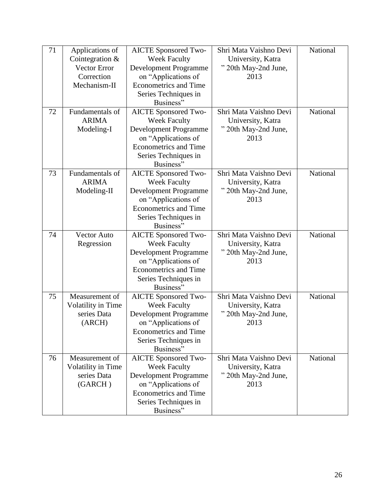| 71 | Applications of     | <b>AICTE Sponsored Two-</b>       | Shri Mata Vaishno Devi       | National |
|----|---------------------|-----------------------------------|------------------------------|----------|
|    | Cointegration $&$   | <b>Week Faculty</b>               | University, Katra            |          |
|    | <b>Vector Error</b> | Development Programme             | " 20th May-2nd June,         |          |
|    | Correction          | on "Applications of               | 2013                         |          |
|    | Mechanism-II        | <b>Econometrics and Time</b>      |                              |          |
|    |                     | Series Techniques in              |                              |          |
|    |                     | Business"                         |                              |          |
| 72 | Fundamentals of     | <b>AICTE Sponsored Two-</b>       | Shri Mata Vaishno Devi       | National |
|    | <b>ARIMA</b>        | <b>Week Faculty</b>               | University, Katra            |          |
|    | Modeling-I          | <b>Development Programme</b>      | " 20th May-2nd June,         |          |
|    |                     | on "Applications of               | 2013                         |          |
|    |                     | <b>Econometrics and Time</b>      |                              |          |
|    |                     | Series Techniques in              |                              |          |
|    |                     | Business"                         |                              |          |
| 73 | Fundamentals of     | <b>AICTE</b> Sponsored Two-       | Shri Mata Vaishno Devi       | National |
|    | <b>ARIMA</b>        | <b>Week Faculty</b>               | University, Katra            |          |
|    | Modeling-II         | Development Programme             | " 20th May-2nd June,         |          |
|    |                     | on "Applications of               | 2013                         |          |
|    |                     | <b>Econometrics and Time</b>      |                              |          |
|    |                     | Series Techniques in              |                              |          |
|    |                     | Business"                         |                              |          |
| 74 | <b>Vector Auto</b>  | <b>AICTE Sponsored Two-</b>       | Shri Mata Vaishno Devi       | National |
|    | Regression          | <b>Week Faculty</b>               | University, Katra            |          |
|    |                     | Development Programme             | " 20th May-2nd June,         |          |
|    |                     | on "Applications of               | 2013                         |          |
|    |                     | <b>Econometrics and Time</b>      |                              |          |
|    |                     | Series Techniques in              |                              |          |
|    |                     | Business"                         |                              |          |
| 75 | Measurement of      | <b>AICTE Sponsored Two-</b>       | Shri Mata Vaishno Devi       | National |
|    | Volatility in Time  | <b>Week Faculty</b>               | University, Katra            |          |
|    | series Data         | Development Programme             | " 20th May-2nd June,         |          |
|    | (ARCH)              | on "Applications of               | 2013                         |          |
|    |                     | <b>Econometrics and Time</b>      |                              |          |
|    |                     | Series Techniques in              |                              |          |
|    |                     | Business"                         |                              |          |
| 76 | Measurement of      | <b>AICTE</b> Sponsored Two-       | Shri Mata Vaishno Devi       | National |
|    | Volatility in Time  | <b>Week Faculty</b>               | University, Katra            |          |
|    | series Data         | <b>Development Programme</b>      | " 20th May-2nd June,<br>2013 |          |
|    | (GARCH)             | on "Applications of               |                              |          |
|    |                     | <b>Econometrics and Time</b>      |                              |          |
|    |                     | Series Techniques in<br>Business" |                              |          |
|    |                     |                                   |                              |          |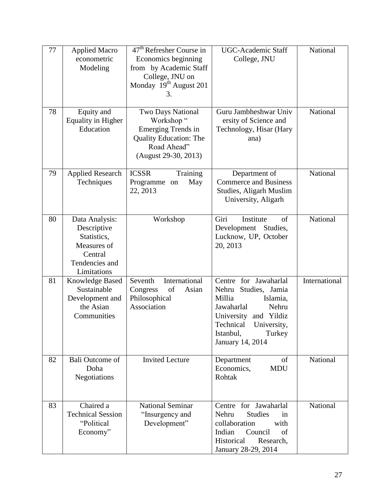| 77 | <b>Applied Macro</b><br>econometric<br>Modeling                                                         | $47th$ Refresher Course in<br>Economics beginning<br>from by Academic Staff<br>College, JNU on<br>Monday 19 <sup>th</sup> August 201<br>3. | <b>UGC-Academic Staff</b><br>College, JNU                                                                                                                                                        | National      |
|----|---------------------------------------------------------------------------------------------------------|--------------------------------------------------------------------------------------------------------------------------------------------|--------------------------------------------------------------------------------------------------------------------------------------------------------------------------------------------------|---------------|
| 78 | Equity and<br><b>Equality in Higher</b><br>Education                                                    | Two Days National<br>Workshop"<br>Emerging Trends in<br><b>Quality Education: The</b><br>Road Ahead"<br>(August 29-30, 2013)               | Guru Jambheshwar Univ<br>ersity of Science and<br>Technology, Hisar (Hary<br>ana)                                                                                                                | National      |
| 79 | <b>Applied Research</b><br>Techniques                                                                   | <b>ICSSR</b><br>Training<br>Programme on<br>May<br>22, 2013                                                                                | Department of<br><b>Commerce and Business</b><br>Studies, Aligarh Muslim<br>University, Aligarh                                                                                                  | National      |
| 80 | Data Analysis:<br>Descriptive<br>Statistics,<br>Measures of<br>Central<br>Tendencies and<br>Limitations | Workshop                                                                                                                                   | Giri<br>Institute<br>of<br>Development<br>Studies,<br>Lucknow, UP, October<br>20, 2013                                                                                                           | National      |
| 81 | <b>Knowledge Based</b><br>Sustainable<br>Development and<br>the Asian<br>Communities                    | International<br>Seventh<br>Congress<br>of<br>Asian<br>Philosophical<br>Association                                                        | Centre for Jawaharlal<br>Nehru<br>Studies, Jamia<br>Millia<br>Islamia,<br>Nehru<br>Jawaharlal<br>University<br>and Yildiz<br>Technical<br>University,<br>Istanbul,<br>Turkey<br>January 14, 2014 | International |
| 82 | <b>Bali Outcome of</b><br>Doha<br>Negotiations                                                          | <b>Invited Lecture</b>                                                                                                                     | of<br>Department<br>Economics,<br><b>MDU</b><br>Rohtak                                                                                                                                           | National      |
| 83 | Chaired a<br><b>Technical Session</b><br>"Political<br>Economy"                                         | <b>National Seminar</b><br>"Insurgency and<br>Development"                                                                                 | Centre for Jawaharlal<br><b>Studies</b><br>Nehru<br><sub>1</sub> n<br>collaboration<br>with<br>Indian<br>Council<br>of<br>Historical<br>Research,<br>January 28-29, 2014                         | National      |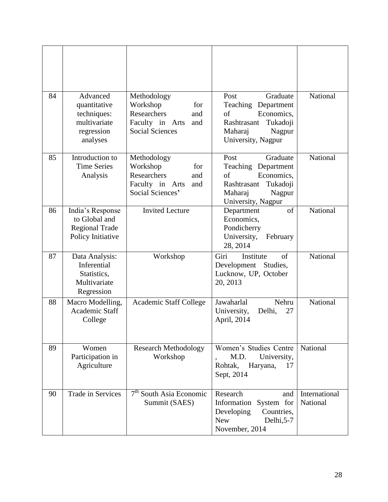| 84 | Advanced<br>quantitative<br>techniques:<br>multivariate<br>regression<br>analyses | Methodology<br>Workshop<br>for<br>Researchers<br>and<br>Faculty in Arts<br>and<br><b>Social Sciences</b> | Graduate<br>Post<br>Teaching Department<br>Economics,<br>of<br>Rashtrasant<br>Tukadoji<br>Maharaj<br>Nagpur<br>University, Nagpur | National                  |
|----|-----------------------------------------------------------------------------------|----------------------------------------------------------------------------------------------------------|-----------------------------------------------------------------------------------------------------------------------------------|---------------------------|
| 85 | Introduction to<br><b>Time Series</b><br>Analysis                                 | Methodology<br>Workshop<br>for<br>Researchers<br>and<br>Faculty in Arts<br>and<br>Social Sciences'       | Graduate<br>Post<br>Teaching Department<br>Economics,<br>of<br>Tukadoji<br>Rashtrasant<br>Nagpur<br>Maharaj<br>University, Nagpur | National                  |
| 86 | India's Response<br>to Global and<br><b>Regional Trade</b><br>Policy Initiative   | <b>Invited Lecture</b>                                                                                   | of<br>Department<br>Economics,<br>Pondicherry<br>University,<br>February<br>28, 2014                                              | National                  |
| 87 | Data Analysis:<br>Inferential<br>Statistics,<br>Multivariate<br>Regression        | Workshop                                                                                                 | Giri<br>of<br>Institute<br>Development Studies,<br>Lucknow, UP, October<br>20, 2013                                               | National                  |
| 88 | Macro Modelling,<br>Academic Staff<br>College                                     | <b>Academic Staff College</b>                                                                            | Jawaharlal<br>Nehru<br>27<br>University,<br>Delhi,<br>April, 2014                                                                 | National                  |
| 89 | Women<br>Participation in<br>Agriculture                                          | <b>Research Methodology</b><br>Workshop                                                                  | Women's Studies Centre<br>M.D.<br>University,<br>Rohtak,<br>Haryana,<br>17<br>Sept, 2014                                          | National                  |
| 90 | Trade in Services                                                                 | $7th$ South Asia Economic<br>Summit (SAES)                                                               | Research<br>and<br>Information<br>System for<br>Developing<br>Countries,<br>Delhi, 5-7<br><b>New</b><br>November, 2014            | International<br>National |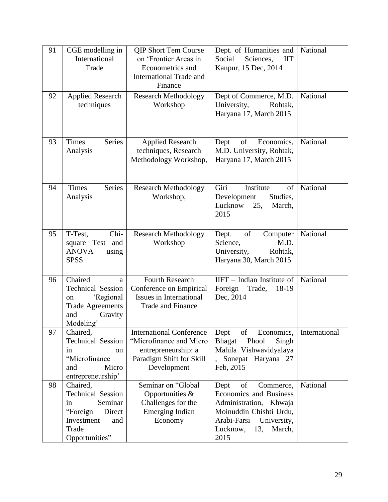| 91 | CGE modelling in<br>International<br>Trade                                                                                  | <b>QIP Short Tem Course</b><br>on 'Frontier Areas in<br>Econometrics and<br><b>International Trade and</b><br>Finance        | Dept. of Humanities and<br>Social<br>Sciences,<br><b>IIT</b><br>Kanpur, 15 Dec, 2014                                                                                      | National      |
|----|-----------------------------------------------------------------------------------------------------------------------------|------------------------------------------------------------------------------------------------------------------------------|---------------------------------------------------------------------------------------------------------------------------------------------------------------------------|---------------|
| 92 | <b>Applied Research</b><br>techniques                                                                                       | <b>Research Methodology</b><br>Workshop                                                                                      | Dept of Commerce, M.D.<br>University,<br>Rohtak,<br>Haryana 17, March 2015                                                                                                | National      |
| 93 | <b>Series</b><br>Times<br>Analysis                                                                                          | <b>Applied Research</b><br>techniques, Research<br>Methodology Workshop,                                                     | of<br>Economics,<br>Dept<br>M.D. University, Rohtak,<br>Haryana 17, March 2015                                                                                            | National      |
| 94 | <b>Series</b><br><b>Times</b><br>Analysis                                                                                   | <b>Research Methodology</b><br>Workshop,                                                                                     | Giri<br>Institute<br>of<br>Development<br>Studies,<br>Lucknow<br>25,<br>March,<br>2015                                                                                    | National      |
| 95 | Chi-<br>T-Test,<br>Test and<br>square<br><b>ANOVA</b><br>using<br><b>SPSS</b>                                               | <b>Research Methodology</b><br>Workshop                                                                                      | of<br>Dept.<br>Computer<br>M.D.<br>Science,<br>Rohtak,<br>University,<br>Haryana 30, March 2015                                                                           | National      |
| 96 | Chaired<br>a<br><b>Technical Session</b><br>'Regional<br>on<br><b>Trade Agreements</b><br>Gravity<br>and<br>Modeling'       | <b>Fourth Research</b><br>Conference on Empirical<br>Issues in International<br><b>Trade and Finance</b>                     | $IIFT$ – Indian Institute of<br>Trade,<br>18-19<br>Foreign<br>Dec, 2014                                                                                                   | National      |
| 97 | Chaired,<br><b>Technical Session</b><br>in<br>on<br>"Microfinance<br>Micro<br>and<br>entrepreneurship'                      | <b>International Conference</b><br>"Microfinance and Micro<br>entrepreneurship: a<br>Paradigm Shift for Skill<br>Development | Dept<br>of<br>Economics,<br>Singh<br><b>Bhagat</b><br>Phool<br>Mahila Vishwavidyalaya<br>Sonepat Haryana 27<br>Feb, 2015                                                  | International |
| 98 | Chaired,<br><b>Technical Session</b><br>Seminar<br>in<br>"Foreign<br>Direct<br>Investment<br>and<br>Trade<br>Opportunities" | Seminar on "Global<br>Opportunities $\&$<br>Challenges for the<br>Emerging Indian<br>Economy                                 | of<br>Dept<br>Commerce,<br>Economics and Business<br>Administration, Khwaja<br>Moinuddin Chishti Urdu,<br>Arabi-Farsi<br>University,<br>Lucknow,<br>13,<br>March,<br>2015 | National      |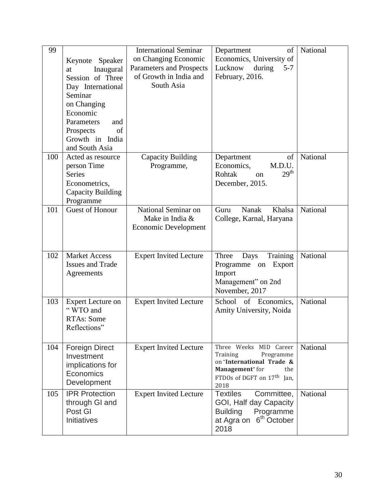| 99  | Keynote Speaker<br>Inaugural<br>at<br>Session of Three<br>Day International<br>Seminar<br>on Changing<br>Economic<br>Parameters<br>and<br>Prospects<br>of<br>Growth in India<br>and South Asia | <b>International Seminar</b><br>on Changing Economic<br>Parameters and Prospects<br>of Growth in India and<br>South Asia | Department<br>of<br>Economics, University of<br>Lucknow<br>during<br>$5 - 7$<br>February, 2016.                                                          | National |
|-----|------------------------------------------------------------------------------------------------------------------------------------------------------------------------------------------------|--------------------------------------------------------------------------------------------------------------------------|----------------------------------------------------------------------------------------------------------------------------------------------------------|----------|
| 100 | Acted as resource<br>person Time<br><b>Series</b><br>Econometrics,<br>Capacity Building<br>Programme                                                                                           | Capacity Building<br>Programme,                                                                                          | of<br>Department<br>Economics,<br>M.D.U.<br>29 <sup>th</sup><br>Rohtak<br>on<br>December, 2015.                                                          | National |
| 101 | <b>Guest of Honour</b>                                                                                                                                                                         | National Seminar on<br>Make in India &<br><b>Economic Development</b>                                                    | Nanak<br>Khalsa<br>Guru<br>College, Karnal, Haryana                                                                                                      | National |
| 102 | <b>Market Access</b><br><b>Issues and Trade</b><br>Agreements                                                                                                                                  | <b>Expert Invited Lecture</b>                                                                                            | Training<br>Three<br>Days<br>Programme on<br>Export<br>Import<br>Management" on 2nd<br>November, 2017                                                    | National |
| 103 | <b>Expert Lecture on</b><br>"WTO and<br>RTAs: Some<br>Reflections"                                                                                                                             | <b>Expert Invited Lecture</b>                                                                                            | School of Economics,<br>Amity University, Noida                                                                                                          | National |
| 104 | <b>Foreign Direct</b><br>Investment<br>implications for<br>Economics<br>Development                                                                                                            | <b>Expert Invited Lecture</b>                                                                                            | Three Weeks MID Career<br>Programme<br>Training<br>on "International Trade &<br>Management" for<br>the<br>FTDOs of DGFT on 17 <sup>th</sup> Jan,<br>2018 | National |
| 105 | <b>IPR Protection</b><br>through GI and<br>Post GI<br>Initiatives                                                                                                                              | <b>Expert Invited Lecture</b>                                                                                            | <b>Textiles</b><br>Committee,<br>GOI, Half day Capacity<br><b>Building</b><br>Programme<br>at Agra on 6 <sup>th</sup> October<br>2018                    | National |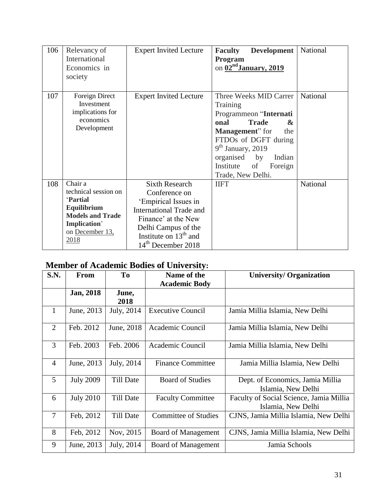| 106 | Relevancy of<br>International<br>Economics in<br>society                                                                               | <b>Expert Invited Lecture</b>                                                                                                                                                                               | <b>Faculty</b><br><b>Development</b><br>Program<br>on 02 <sup>nd</sup> January, 2019                                                                                                                                                                    | National        |
|-----|----------------------------------------------------------------------------------------------------------------------------------------|-------------------------------------------------------------------------------------------------------------------------------------------------------------------------------------------------------------|---------------------------------------------------------------------------------------------------------------------------------------------------------------------------------------------------------------------------------------------------------|-----------------|
| 107 | Foreign Direct<br>Investment<br>implications for<br>economics<br>Development                                                           | <b>Expert Invited Lecture</b>                                                                                                                                                                               | Three Weeks MID Carrer<br>Training<br>Programmeon "Internati<br><b>Trade</b><br>onal<br>&<br><b>Management</b> " for<br>the<br>FTDOs of DGFT during<br>$9th$ January, 2019<br>organised by<br>Indian<br>Institute<br>of<br>Foreign<br>Trade, New Delhi. | <b>National</b> |
| 108 | Chair a<br>technical session on<br><b>Partial</b><br>Equilibrium<br><b>Models and Trade</b><br>Implication'<br>on December 13,<br>2018 | <b>Sixth Research</b><br>Conference on<br>'Empirical Issues in<br><b>International Trade and</b><br>Finance' at the New<br>Delhi Campus of the<br>Institute on $13th$ and<br>14 <sup>th</sup> December 2018 | <b>IIFT</b>                                                                                                                                                                                                                                             | National        |

## **Member of Academic Bodies of University:**

| S.N.           | <b>From</b>      | To               | Name of the<br><b>Academic Body</b> | <b>University/ Organization</b>                               |
|----------------|------------------|------------------|-------------------------------------|---------------------------------------------------------------|
|                | Jan, 2018        | June,<br>2018    |                                     |                                                               |
| $\mathbf{1}$   | June, 2013       | July, 2014       | <b>Executive Council</b>            | Jamia Millia Islamia, New Delhi                               |
| 2              | Feb. 2012        | June, 2018       | Academic Council                    | Jamia Millia Islamia, New Delhi                               |
| 3              | Feb. 2003        | Feb. 2006        | Academic Council                    | Jamia Millia Islamia, New Delhi                               |
| $\overline{4}$ | June, 2013       | July, 2014       | <b>Finance Committee</b>            | Jamia Millia Islamia, New Delhi                               |
| 5              | <b>July 2009</b> | Till Date        | <b>Board of Studies</b>             | Dept. of Economics, Jamia Millia<br>Islamia, New Delhi        |
| 6              | <b>July 2010</b> | Till Date        | <b>Faculty Committee</b>            | Faculty of Social Science, Jamia Millia<br>Islamia, New Delhi |
| $\tau$         | Feb, 2012        | <b>Till Date</b> | <b>Committee of Studies</b>         | CJNS, Jamia Millia Islamia, New Delhi                         |
| 8              | Feb, 2012        | Nov, 2015        | Board of Management                 | CJNS, Jamia Millia Islamia, New Delhi                         |
| 9              | June, 2013       | July, 2014       | Board of Management                 | Jamia Schools                                                 |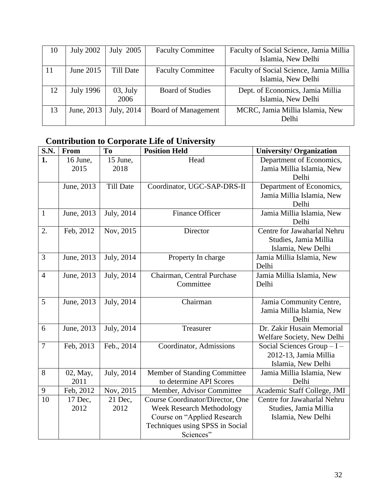| 10 | <b>July 2002</b> | July 2005          | <b>Faculty Committee</b> | Faculty of Social Science, Jamia Millia<br>Islamia, New Delhi |
|----|------------------|--------------------|--------------------------|---------------------------------------------------------------|
| 11 | June 2015        | Till Date          | <b>Faculty Committee</b> | Faculty of Social Science, Jamia Millia<br>Islamia, New Delhi |
| 12 | <b>July 1996</b> | $03,$ July<br>2006 | <b>Board of Studies</b>  | Dept. of Economics, Jamia Millia<br>Islamia, New Delhi        |
| 13 | June, 2013       | July, 2014         | Board of Management      | MCRC, Jamia Millia Islamia, New<br>Delhi                      |

# **Contribution to Corporate Life of University**

| S.N.           | From       | To               | <b>Position Held</b>             | <b>University/ Organization</b> |
|----------------|------------|------------------|----------------------------------|---------------------------------|
| 1.             | 16 June,   | 15 June,         | Head                             | Department of Economics,        |
|                | 2015       | 2018             |                                  | Jamia Millia Islamia, New       |
|                |            |                  |                                  | Delhi                           |
|                | June, 2013 | <b>Till Date</b> | Coordinator, UGC-SAP-DRS-II      | Department of Economics,        |
|                |            |                  |                                  | Jamia Millia Islamia, New       |
|                |            |                  |                                  | Delhi                           |
| $\mathbf{1}$   | June, 2013 | July, 2014       | <b>Finance Officer</b>           | Jamia Millia Islamia, New       |
|                |            |                  |                                  | Delhi                           |
| 2.             | Feb, 2012  | Nov, 2015        | Director                         | Centre for Jawaharlal Nehru     |
|                |            |                  |                                  | Studies, Jamia Millia           |
|                |            |                  |                                  | Islamia, New Delhi              |
| 3              | June, 2013 | July, 2014       | Property In charge               | Jamia Millia Islamia, New       |
|                |            |                  |                                  | Delhi                           |
| $\overline{4}$ | June, 2013 | July, 2014       | Chairman, Central Purchase       | Jamia Millia Islamia, New       |
|                |            |                  | Committee                        | Delhi                           |
|                |            |                  |                                  |                                 |
| 5              | June, 2013 | July, 2014       | Chairman                         | Jamia Community Centre,         |
|                |            |                  |                                  | Jamia Millia Islamia, New       |
|                |            |                  |                                  | Delhi                           |
| 6              | June, 2013 | July, 2014       | Treasurer                        | Dr. Zakir Husain Memorial       |
|                |            |                  |                                  | Welfare Society, New Delhi      |
| $\overline{7}$ | Feb, 2013  | Feb., 2014       | Coordinator, Admissions          | Social Sciences Group - I -     |
|                |            |                  |                                  | 2012-13, Jamia Millia           |
|                |            |                  |                                  | Islamia, New Delhi              |
| 8              | 02, May,   | July, 2014       | Member of Standing Committee     | Jamia Millia Islamia, New       |
|                | 2011       |                  | to determine API Scores          | Delhi                           |
| 9              | Feb, 2012  | Nov, 2015        | Member, Advisor Committee        | Academic Staff College, JMI     |
| 10             | 17 Dec,    | 21 Dec,          | Course Coordinator/Director, One | Centre for Jawaharlal Nehru     |
|                | 2012       | 2012             | <b>Week Research Methodology</b> | Studies, Jamia Millia           |
|                |            |                  | Course on "Applied Research      | Islamia, New Delhi              |
|                |            |                  | Techniques using SPSS in Social  |                                 |
|                |            |                  | Sciences"                        |                                 |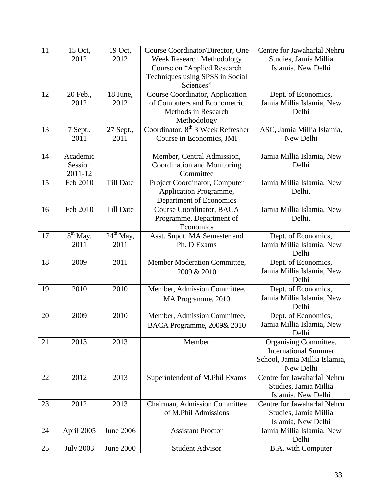| 11 | 15 Oct,          | 19 Oct,                 | Course Coordinator/Director, One              | Centre for Jawaharlal Nehru   |
|----|------------------|-------------------------|-----------------------------------------------|-------------------------------|
|    | 2012             | 2012                    | Week Research Methodology                     | Studies, Jamia Millia         |
|    |                  |                         | Course on "Applied Research                   | Islamia, New Delhi            |
|    |                  |                         | Techniques using SPSS in Social               |                               |
|    |                  |                         | Sciences"                                     |                               |
| 12 | 20 Feb.,         | 18 June,                | Course Coordinator, Application               | Dept. of Economics,           |
|    | 2012             | 2012                    | of Computers and Econometric                  | Jamia Millia Islamia, New     |
|    |                  |                         | Methods in Research                           | Delhi                         |
|    |                  |                         | Methodology                                   |                               |
| 13 | 7 Sept.,         | 27 Sept.,               | Coordinator, 8 <sup>th</sup> 3 Week Refresher | ASC, Jamia Millia Islamia,    |
|    | 2011             | 2011                    | Course in Economics, JMI                      | New Delhi                     |
|    |                  |                         |                                               |                               |
| 14 | Academic         |                         | Member, Central Admission,                    | Jamia Millia Islamia, New     |
|    | Session          |                         | Coordination and Monitoring                   | Delhi                         |
|    | 2011-12          |                         | Committee                                     |                               |
| 15 | Feb 2010         | <b>Till Date</b>        | Project Coordinator, Computer                 | Jamia Millia Islamia, New     |
|    |                  |                         | Application Programme,                        | Delhi.                        |
|    |                  |                         | Department of Economics                       |                               |
| 16 | Feb 2010         | <b>Till Date</b>        | <b>Course Coordinator, BACA</b>               | Jamia Millia Islamia, New     |
|    |                  |                         | Programme, Department of                      | Delhi.                        |
|    |                  |                         | Economics                                     |                               |
| 17 | $5th$ May,       | $24^{\text{th}}$ May,   | Asst. Supdt. MA Semester and                  | Dept. of Economics,           |
|    | 2011             | 2011                    | Ph. D Exams                                   | Jamia Millia Islamia, New     |
|    |                  |                         |                                               | Delhi                         |
| 18 | 2009             | 2011                    | Member Moderation Committee,                  | Dept. of Economics,           |
|    |                  |                         | 2009 & 2010                                   | Jamia Millia Islamia, New     |
|    |                  |                         |                                               | Delhi                         |
| 19 | 2010             | 2010                    | Member, Admission Committee,                  | Dept. of Economics,           |
|    |                  |                         | MA Programme, 2010                            | Jamia Millia Islamia, New     |
|    |                  |                         |                                               | Delhi                         |
| 20 | 2009             | 2010                    | Member, Admission Committee,                  | Dept. of Economics,           |
|    |                  |                         | BACA Programme, 2009& 2010                    | Jamia Millia Islamia, New     |
|    |                  |                         |                                               | Delhi                         |
| 21 | 2013             | 2013                    | Member                                        | <b>Organising Committee,</b>  |
|    |                  |                         |                                               | <b>International Summer</b>   |
|    |                  |                         |                                               | School, Jamia Millia Islamia, |
|    |                  |                         |                                               | New Delhi                     |
| 22 | 2012             | 2013                    | Superintendent of M.Phil Exams                | Centre for Jawaharlal Nehru   |
|    |                  |                         |                                               | Studies, Jamia Millia         |
|    |                  |                         |                                               | Islamia, New Delhi            |
| 23 | 2012             | 2013                    | Chairman, Admission Committee                 | Centre for Jawaharlal Nehru   |
|    |                  |                         | of M.Phil Admissions                          | Studies, Jamia Millia         |
|    |                  |                         |                                               | Islamia, New Delhi            |
| 24 | April 2005       | $\overline{J}$ une 2006 | <b>Assistant Proctor</b>                      | Jamia Millia Islamia, New     |
|    |                  |                         |                                               | Delhi                         |
| 25 | <b>July 2003</b> | <b>June 2000</b>        | <b>Student Advisor</b>                        | B.A. with Computer            |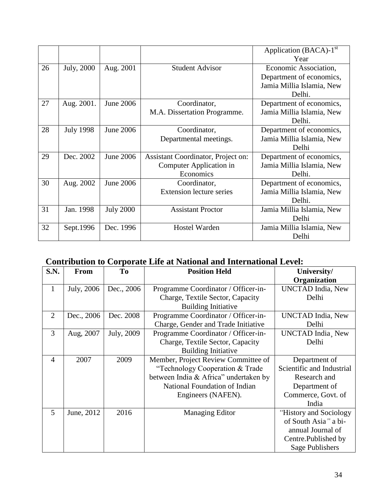|    |                  |                  |                                    | Application (BACA)-1 <sup>st</sup> |
|----|------------------|------------------|------------------------------------|------------------------------------|
|    |                  |                  |                                    | Year                               |
| 26 | July, 2000       | Aug. 2001        | <b>Student Advisor</b>             | Economic Association,              |
|    |                  |                  |                                    | Department of economics,           |
|    |                  |                  |                                    | Jamia Millia Islamia, New          |
|    |                  |                  |                                    | Delhi.                             |
| 27 | Aug. 2001.       | June 2006        | Coordinator,                       | Department of economics,           |
|    |                  |                  | M.A. Dissertation Programme.       | Jamia Millia Islamia, New          |
|    |                  |                  |                                    | Delhi.                             |
| 28 | <b>July 1998</b> | <b>June 2006</b> | Coordinator,                       | Department of economics,           |
|    |                  |                  | Departmental meetings.             | Jamia Millia Islamia, New          |
|    |                  |                  |                                    | Delhi                              |
| 29 | Dec. 2002        | June 2006        | Assistant Coordinator, Project on: | Department of economics,           |
|    |                  |                  | Computer Application in            | Jamia Millia Islamia, New          |
|    |                  |                  | Economics                          | Delhi.                             |
| 30 | Aug. 2002        | June 2006        | Coordinator,                       | Department of economics,           |
|    |                  |                  | <b>Extension lecture series</b>    | Jamia Millia Islamia, New          |
|    |                  |                  |                                    | Delhi.                             |
| 31 | Jan. 1998        | <b>July 2000</b> | <b>Assistant Proctor</b>           | Jamia Millia Islamia, New          |
|    |                  |                  |                                    | Delhi                              |
| 32 | Sept.1996        | Dec. 1996        | Hostel Warden                      | Jamia Millia Islamia, New          |
|    |                  |                  |                                    | Delhi                              |

# **Contribution to Corporate Life at National and International Level:**

| S.N.           | <b>From</b> | To         | <b>Position Held</b>                  | University/               |
|----------------|-------------|------------|---------------------------------------|---------------------------|
|                |             |            |                                       | <b>Organization</b>       |
| 1              | July, 2006  | Dec., 2006 | Programme Coordinator / Officer-in-   | <b>UNCTAD</b> India, New  |
|                |             |            | Charge, Textile Sector, Capacity      | Delhi                     |
|                |             |            | <b>Building Initiative</b>            |                           |
| $\overline{2}$ | Dec., 2006  | Dec. 2008  | Programme Coordinator / Officer-in-   | <b>UNCTAD</b> India, New  |
|                |             |            | Charge, Gender and Trade Initiative   | Delhi                     |
| 3              | Aug, 2007   | July, 2009 | Programme Coordinator / Officer-in-   | UNCTAD India, New         |
|                |             |            | Charge, Textile Sector, Capacity      | Delhi                     |
|                |             |            | <b>Building Initiative</b>            |                           |
| 4              | 2007        | 2009       | Member, Project Review Committee of   | Department of             |
|                |             |            | "Technology Cooperation & Trade"      | Scientific and Industrial |
|                |             |            | between India & Africa" undertaken by | Research and              |
|                |             |            | National Foundation of Indian         | Department of             |
|                |             |            | Engineers (NAFEN).                    | Commerce, Govt. of        |
|                |             |            |                                       | India                     |
| 5              | June, 2012  | 2016       | <b>Managing Editor</b>                | "History and Sociology"   |
|                |             |            |                                       | of South Asia" a bi-      |
|                |             |            |                                       | annual Journal of         |
|                |             |            |                                       | Centre.Published by       |
|                |             |            |                                       | Sage Publishers           |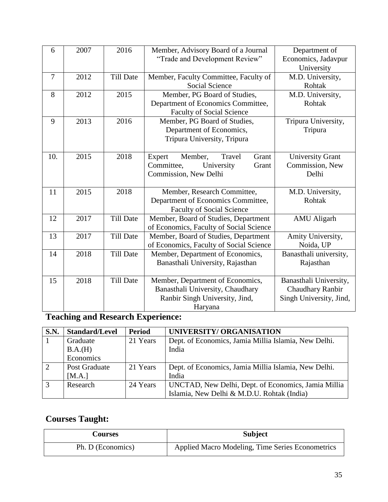| 6   | 2007 | 2016             | Member, Advisory Board of a Journal     | Department of           |  |  |
|-----|------|------------------|-----------------------------------------|-------------------------|--|--|
|     |      |                  | "Trade and Development Review"          | Economics, Jadavpur     |  |  |
|     |      |                  |                                         | University              |  |  |
| 7   | 2012 | <b>Till Date</b> | Member, Faculty Committee, Faculty of   | M.D. University,        |  |  |
|     |      |                  | <b>Social Science</b>                   | Rohtak                  |  |  |
| 8   | 2012 | 2015             | Member, PG Board of Studies,            | M.D. University,        |  |  |
|     |      |                  | Department of Economics Committee,      | Rohtak                  |  |  |
|     |      |                  | <b>Faculty of Social Science</b>        |                         |  |  |
| 9   | 2013 | 2016             | Member, PG Board of Studies,            | Tripura University,     |  |  |
|     |      |                  | Department of Economics,                | Tripura                 |  |  |
|     |      |                  | Tripura University, Tripura             |                         |  |  |
|     |      |                  |                                         |                         |  |  |
| 10. | 2015 | 2018             | Member,<br>Grant<br>Expert<br>Travel    | <b>University Grant</b> |  |  |
|     |      |                  | Committee,<br>University<br>Grant       | Commission, New         |  |  |
|     |      |                  | Commission, New Delhi                   | Delhi                   |  |  |
|     |      |                  |                                         |                         |  |  |
| 11  | 2015 | 2018             | Member, Research Committee,             | M.D. University,        |  |  |
|     |      |                  | Department of Economics Committee,      | Rohtak                  |  |  |
|     |      |                  | <b>Faculty of Social Science</b>        |                         |  |  |
| 12  | 2017 | <b>Till Date</b> | Member, Board of Studies, Department    | <b>AMU</b> Aligarh      |  |  |
|     |      |                  | of Economics, Faculty of Social Science |                         |  |  |
| 13  | 2017 | <b>Till Date</b> | Member, Board of Studies, Department    | Amity University,       |  |  |
|     |      |                  | of Economics, Faculty of Social Science | Noida, UP               |  |  |
| 14  | 2018 | <b>Till Date</b> | Member, Department of Economics,        | Banasthali university,  |  |  |
|     |      |                  | Banasthali University, Rajasthan        | Rajasthan               |  |  |
|     |      |                  |                                         |                         |  |  |
| 15  | 2018 | <b>Till Date</b> | Member, Department of Economics,        | Banasthali University,  |  |  |
|     |      |                  | Banasthali University, Chaudhary        | Chaudhary Ranbir        |  |  |
|     |      |                  | Ranbir Singh University, Jind,          | Singh University, Jind, |  |  |
|     |      |                  | Haryana                                 |                         |  |  |

# **Teaching and Research Experience:**

| <b>S.N.</b>    | <b>Standard/Level</b> | Period   | UNIVERSITY/ ORGANISATION                             |
|----------------|-----------------------|----------|------------------------------------------------------|
|                | 21 Years<br>Graduate  |          | Dept. of Economics, Jamia Millia Islamia, New Delhi. |
|                | B.A.(H)               |          | India                                                |
|                | Economics             |          |                                                      |
| 2              | Post Graduate         | 21 Years | Dept. of Economics, Jamia Millia Islamia, New Delhi. |
|                | [MA.]                 |          | India                                                |
| $\overline{3}$ | Research              | 24 Years | UNCTAD, New Delhi, Dept. of Economics, Jamia Millia  |
|                |                       |          | Islamia, New Delhi & M.D.U. Rohtak (India)           |

# **Courses Taught:**

| <b>Courses</b>    | <b>Subject</b>                                   |  |
|-------------------|--------------------------------------------------|--|
| Ph. D (Economics) | Applied Macro Modeling, Time Series Econometrics |  |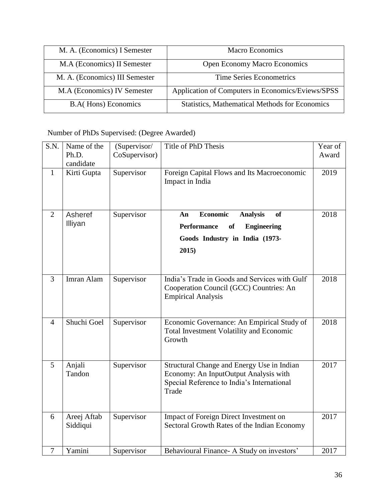| M. A. (Economics) I Semester   | Macro Economics                                       |  |
|--------------------------------|-------------------------------------------------------|--|
| M.A (Economics) II Semester    | <b>Open Economy Macro Economics</b>                   |  |
| M. A. (Economics) III Semester | <b>Time Series Econometrics</b>                       |  |
| M.A (Economics) IV Semester    | Application of Computers in Economics/Eviews/SPSS     |  |
| <b>B.A.</b> Hons) Economics    | <b>Statistics, Mathematical Methods for Economics</b> |  |

Number of PhDs Supervised: (Degree Awarded)

| S.N.           | Name of the<br>Ph.D.<br>candidate | (Supervisor/<br>CoSupervisor) | Title of PhD Thesis                                                                                                                                | Year of<br>Award |
|----------------|-----------------------------------|-------------------------------|----------------------------------------------------------------------------------------------------------------------------------------------------|------------------|
| $\mathbf{1}$   | Kirti Gupta                       | Supervisor                    | Foreign Capital Flows and Its Macroeconomic<br>Impact in India                                                                                     | 2019             |
| $\overline{2}$ | Asheref<br>Illiyan                | Supervisor                    | <b>Economic</b><br><b>Analysis</b><br><b>of</b><br>An<br><b>Performance</b><br><b>Engineering</b><br>of<br>Goods Industry in India (1973-<br>2015) | 2018             |
| $\overline{3}$ | Imran Alam                        | Supervisor                    | India's Trade in Goods and Services with Gulf<br>Cooperation Council (GCC) Countries: An<br><b>Empirical Analysis</b>                              | 2018             |
| $\overline{4}$ | Shuchi Goel                       | Supervisor                    | Economic Governance: An Empirical Study of<br>Total Investment Volatility and Economic<br>Growth                                                   | 2018             |
| 5              | Anjali<br>Tandon                  | Supervisor                    | Structural Change and Energy Use in Indian<br>Economy: An InputOutput Analysis with<br>Special Reference to India's International<br>Trade         | 2017             |
| 6              | Areej Aftab<br>Siddiqui           | Supervisor                    | Impact of Foreign Direct Investment on<br>Sectoral Growth Rates of the Indian Economy                                                              | 2017             |
| $\overline{7}$ | Yamini                            | Supervisor                    | Behavioural Finance- A Study on investors'                                                                                                         | 2017             |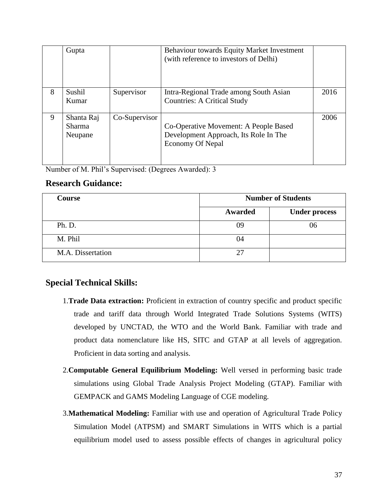|   | Gupta                                  |               | <b>Behaviour towards Equity Market Investment</b><br>(with reference to investors of Delhi)               |      |
|---|----------------------------------------|---------------|-----------------------------------------------------------------------------------------------------------|------|
| 8 | Sushil<br>Kumar                        | Supervisor    | Intra-Regional Trade among South Asian<br><b>Countries: A Critical Study</b>                              | 2016 |
| 9 | Shanta Raj<br><b>Sharma</b><br>Neupane | Co-Supervisor | Co-Operative Movement: A People Based<br>Development Approach, Its Role In The<br><b>Economy Of Nepal</b> | 2006 |

Number of M. Phil's Supervised: (Degrees Awarded): 3

### **Research Guidance:**

| <b>Course</b>     |         | <b>Number of Students</b> |  |
|-------------------|---------|---------------------------|--|
|                   | Awarded | <b>Under process</b>      |  |
| Ph. D.            | 09      | 06                        |  |
| M. Phil           | 04      |                           |  |
| M.A. Dissertation |         |                           |  |

### **Special Technical Skills:**

- 1.**Trade Data extraction:** Proficient in extraction of country specific and product specific trade and tariff data through World Integrated Trade Solutions Systems (WITS) developed by UNCTAD, the WTO and the World Bank. Familiar with trade and product data nomenclature like HS, SITC and GTAP at all levels of aggregation. Proficient in data sorting and analysis.
- 2.**Computable General Equilibrium Modeling:** Well versed in performing basic trade simulations using Global Trade Analysis Project Modeling (GTAP). Familiar with GEMPACK and GAMS Modeling Language of CGE modeling.
- 3.**Mathematical Modeling:** Familiar with use and operation of Agricultural Trade Policy Simulation Model (ATPSM) and SMART Simulations in WITS which is a partial equilibrium model used to assess possible effects of changes in agricultural policy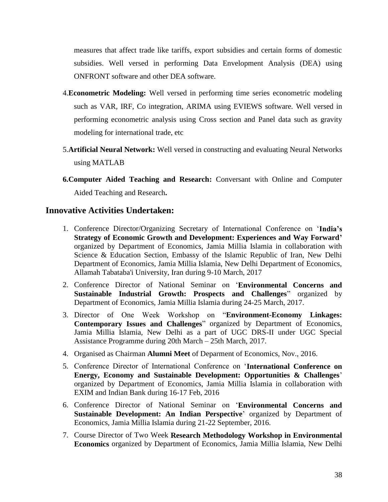measures that affect trade like tariffs, export subsidies and certain forms of domestic subsidies. Well versed in performing Data Envelopment Analysis (DEA) using ONFRONT software and other DEA software.

- 4.**Econometric Modeling:** Well versed in performing time series econometric modeling such as VAR, IRF, Co integration, ARIMA using EVIEWS software. Well versed in performing econometric analysis using Cross section and Panel data such as gravity modeling for international trade, etc
- 5.**Artificial Neural Network:** Well versed in constructing and evaluating Neural Networks using MATLAB
- **6.Computer Aided Teaching and Research:** Conversant with Online and Computer Aided Teaching and Research**.**

### **Innovative Activities Undertaken:**

- 1. Conference Director/Organizing Secretary of International Conference on '**India's Strategy of Economic Growth and Development: Experiences and Way Forward'** organized by Department of Economics, Jamia Millia Islamia in collaboration with Science & Education Section, Embassy of the Islamic Republic of Iran, New Delhi Department of Economics, Jamia Millia Islamia, New Delhi Department of Economics, Allamah Tabataba'i University, Iran during 9-10 March, 2017
- 2. Conference Director of National Seminar on '**Environmental Concerns and Sustainable Industrial Growth: Prospects and Challenges**" organized by Department of Economics, Jamia Millia Islamia during 24-25 March, 2017.
- 3. Director of One Week Workshop on "**Environment-Economy Linkages: Contemporary Issues and Challenges**" organized by Department of Economics, Jamia Millia Islamia, New Delhi as a part of UGC DRS-II under UGC Special Assistance Programme during 20th March – 25th March, 2017.
- 4. Organised as Chairman **Alumni Meet** of Deparment of Economics, Nov., 2016.
- 5. Conference Director of International Conference on '**International Conference on Energy, Economy and Sustainable Development: Opportunities & Challenges**' organized by Department of Economics, Jamia Millia Islamia in collaboration with EXIM and Indian Bank during 16-17 Feb, 2016
- 6. Conference Director of National Seminar on '**Environmental Concerns and Sustainable Development: An Indian Perspective**' organized by Department of Economics, Jamia Millia Islamia during 21-22 September, 2016.
- 7. Course Director of Two Week **Research Methodology Workshop in Environmental Economics** organized by Department of Economics, Jamia Millia Islamia, New Delhi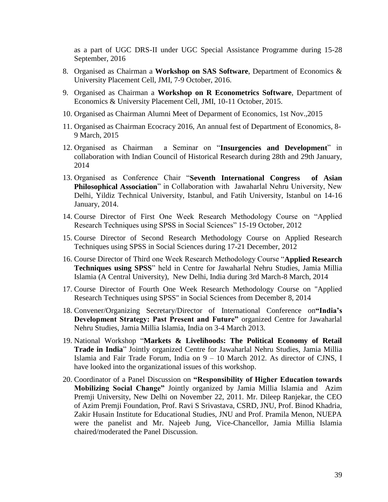as a part of UGC DRS-II under UGC Special Assistance Programme during 15-28 September, 2016

- 8. Organised as Chairman a **Workshop on SAS Software**, Department of Economics & University Placement Cell, JMI, 7-9 October, 2016.
- 9. Organised as Chairman a **Workshop on R Econometrics Software**, Department of Economics & University Placement Cell, JMI, 10-11 October, 2015.
- 10. Organised as Chairman Alumni Meet of Deparment of Economics, 1st Nov.,2015
- 11. Organised as Chairman Ecocracy 2016, An annual fest of Department of Economics, 8- 9 March, 2015
- 12. Organised as Chairman a Seminar on "**Insurgencies and Development**" in collaboration with Indian Council of Historical Research during 28th and 29th January, 2014
- 13. Organised as Conference Chair "**Seventh International Congress of Asian Philosophical Association**" in Collaboration with Jawaharlal Nehru University, New Delhi, Yildiz Technical University, Istanbul, and Fatih University, Istanbul on 14-16 January, 2014.
- 14. Course Director of First One Week Research Methodology Course on "Applied Research Techniques using SPSS in Social Sciences" 15-19 October, 2012
- 15. Course Director of Second Research Methodology Course on Applied Research Techniques using SPSS in Social Sciences during 17-21 December, 2012
- 16. Course Director of Third one Week Research Methodology Course "**Applied Research Techniques using SPSS**" held in Centre for Jawaharlal Nehru Studies, Jamia Millia Islamia (A Central University), New Delhi, India during 3rd March-8 March, 2014
- 17. Course Director of Fourth One Week Research Methodology Course on "Applied Research Techniques using SPSS" in Social Sciences from December 8, 2014
- 18. Convener/Organizing Secretary/Director of International Conference on**"India's Development Strategy: Past Present and Future"** organized Centre for Jawaharlal Nehru Studies, Jamia Millia Islamia, India on 3-4 March 2013.
- 19. National Workshop "**Markets & Livelihoods: The Political Economy of Retail Trade in India**" Jointly organized Centre for Jawaharlal Nehru Studies, Jamia Millia Islamia and Fair Trade Forum, India on 9 – 10 March 2012. As director of CJNS, I have looked into the organizational issues of this workshop.
- 20. Coordinator of a Panel Discussion on **"Responsibility of Higher Education towards Mobilizing Social Change"** Jointly organized by Jamia Millia Islamia and Azim Premji University, New Delhi on November 22, 2011. Mr. Dileep Ranjekar, the CEO of Azim Premji Foundation, Prof. Ravi S Srivastava, CSRD, JNU, Prof. Binod Khadria, Zakir Husain Institute for Educational Studies, JNU and Prof. Pramila Menon, NUEPA were the panelist and Mr. Najeeb Jung, Vice-Chancellor, Jamia Millia Islamia chaired/moderated the Panel Discussion.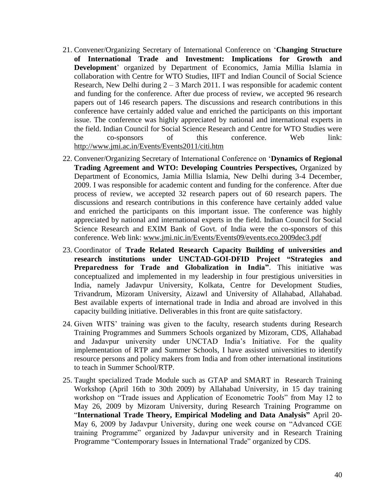- 21. Convener/Organizing Secretary of International Conference on '**Changing Structure of International Trade and Investment: Implications for Growth and Development**' organized by Department of Economics, Jamia Millia Islamia in collaboration with Centre for WTO Studies, IIFT and Indian Council of Social Science Research, New Delhi during  $2 - 3$  March 2011. I was responsible for academic content and funding for the conference. After due process of review, we accepted 96 research papers out of 146 research papers. The discussions and research contributions in this conference have certainly added value and enriched the participants on this important issue. The conference was highly appreciated by national and international experts in the field. Indian Council for Social Science Research and Centre for WTO Studies were the co-sponsors of this conference. Web link: <http://www.jmi.ac.in/Events/Events2011/citi.htm>
- 22. Convener/Organizing Secretary of International Conference on '**Dynamics of Regional Trading Agreement and WTO: Developing Countries Perspectives,** Organized by Department of Economics, Jamia Millia Islamia, New Delhi during 3-4 December, 2009. I was responsible for academic content and funding for the conference. After due process of review, we accepted 32 research papers out of 60 research papers. The discussions and research contributions in this conference have certainly added value and enriched the participants on this important issue. The conference was highly appreciated by national and international experts in the field. Indian Council for Social Science Research and EXIM Bank of Govt. of India were the co-sponsors of this conference. Web link: [www.jmi.nic.in/Events/Events09/events.eco.2009dec3.pdf](http://www.jmi.nic.in/Events/Events09/events.eco.2009dec3.pdf)
- 23. Coordinator of **Trade Related Research Capacity Building of universities and research institutions under UNCTAD-GOI-DFID Project "Strategies and Preparedness for Trade and Globalization in India"**. This initiative was conceptualized and implemented in my leadership in four prestigious universities in India, namely Jadavpur University, Kolkata, Centre for Development Studies, Trivandrum, Mizoram University, Aizawl and University of Allahabad, Allahabad. Best available experts of international trade in India and abroad are involved in this capacity building initiative. Deliverables in this front are quite satisfactory.
- 24. Given WITS' training was given to the faculty, research students during Research Training Programmes and Summers Schools organized by Mizoram, CDS, Allahabad and Jadavpur university under UNCTAD India's Initiative. For the quality implementation of RTP and Summer Schools, I have assisted universities to identify resource persons and policy makers from India and from other international institutions to teach in Summer School/RTP.
- 25. Taught specialized Trade Module such as GTAP and SMART in Research Training Workshop (April 16th to 30th 2009) by Allahabad University, in 15 day training workshop on "Trade issues and Application of Econometric *Tools*" from May 12 to May 26, 2009 by Mizoram University, during Research Training Programme on "**International Trade Theory, Empirical Modeling and Data Analysis"** April 20- May 6, 2009 by Jadavpur University, during one week course on "Advanced CGE training Programme" organized by Jadavpur university and in Research Training Programme "Contemporary Issues in International Trade" organized by CDS.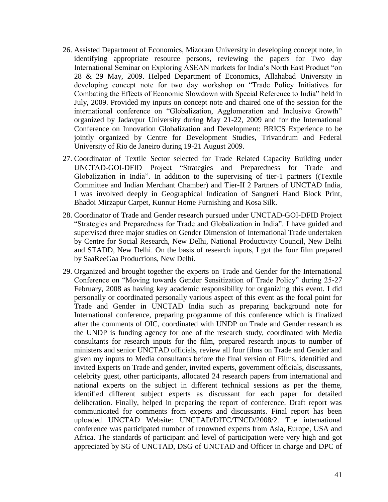- 26. Assisted Department of Economics, Mizoram University in developing concept note, in identifying appropriate resource persons, reviewing the papers for Two day International Seminar on Exploring ASEAN markets for India's North East Product "on 28 & 29 May, 2009. Helped Department of Economics, Allahabad University in developing concept note for two day workshop on "Trade Policy Initiatives for Combating the Effects of Economic Slowdown with Special Reference to India" held in July, 2009. Provided my inputs on concept note and chaired one of the session for the international conference on "Globalization, Agglomeration and Inclusive Growth" organized by Jadavpur University during May 21-22, 2009 and for the International Conference on Innovation Globalization and Development: BRICS Experience to be jointly organized by Centre for Development Studies, Trivandrum and Federal University of Rio de Janeiro during 19-21 August 2009.
- 27. Coordinator of Textile Sector selected for Trade Related Capacity Building under UNCTAD-GOI-DFID Project "Strategies and Preparedness for Trade and Globalization in India". In addition to the supervising of tier-1 partners ((Textile Committee and Indian Merchant Chamber) and Tier-II 2 Partners of UNCTAD India, I was involved deeply in Geographical Indication of Sangneri Hand Block Print, Bhadoi Mirzapur Carpet, Kunnur Home Furnishing and Kosa Silk.
- 28. Coordinator of Trade and Gender research pursued under UNCTAD-GOI-DFID Project "Strategies and Preparedness for Trade and Globalization in India". I have guided and supervised three major studies on Gender Dimension of International Trade undertaken by Centre for Social Research, New Delhi, National Productivity Council, New Delhi and STADD, New Delhi. On the basis of research inputs, I got the four film prepared by SaaReeGaa Productions, New Delhi.
- 29. Organized and brought together the experts on Trade and Gender for the International Conference on "Moving towards Gender Sensitization of Trade Policy" during 25-27 February, 2008 as having key academic responsibility for organizing this event. I did personally or coordinated personally various aspect of this event as the focal point for Trade and Gender in UNCTAD India such as preparing background note for International conference, preparing programme of this conference which is finalized after the comments of OIC, coordinated with UNDP on Trade and Gender research as the UNDP is funding agency for one of the research study, coordinated with Media consultants for research inputs for the film, prepared research inputs to number of ministers and senior UNCTAD officials, review all four films on Trade and Gender and given my inputs to Media consultants before the final version of Films, identified and invited Experts on Trade and gender, invited experts, government officials, discussants, celebrity guest, other participants, allocated 24 research papers from international and national experts on the subject in different technical sessions as per the theme, identified different subject experts as discussant for each paper for detailed deliberation. Finally, helped in preparing the report of conference. Draft report was communicated for comments from experts and discussants. Final report has been uploaded UNCTAD Website: UNCTAD/DITC/TNCD/2008/2. The international conference was participated number of renowned experts from Asia, Europe, USA and Africa. The standards of participant and level of participation were very high and got appreciated by SG of UNCTAD, DSG of UNCTAD and Officer in charge and DPC of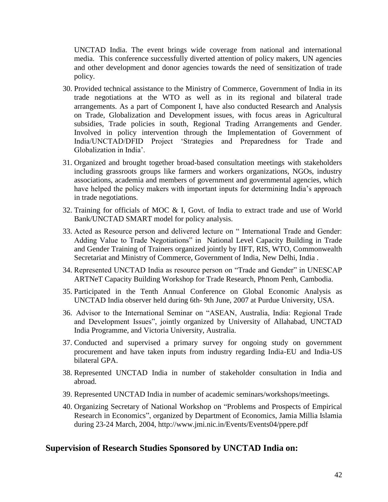UNCTAD India. The event brings wide coverage from national and international media. This conference successfully diverted attention of policy makers, UN agencies and other development and donor agencies towards the need of sensitization of trade policy.

- 30. Provided technical assistance to the Ministry of Commerce, Government of India in its trade negotiations at the WTO as well as in its regional and bilateral trade arrangements. As a part of Component I, have also conducted Research and Analysis on Trade, Globalization and Development issues, with focus areas in Agricultural subsidies, Trade policies in south, Regional Trading Arrangements and Gender. Involved in policy intervention through the Implementation of Government of India/UNCTAD/DFID Project 'Strategies and Preparedness for Trade and Globalization in India'.
- 31. Organized and brought together broad-based consultation meetings with stakeholders including grassroots groups like farmers and workers organizations, NGOs, industry associations, academia and members of government and governmental agencies, which have helped the policy makers with important inputs for determining India's approach in trade negotiations.
- 32. Training for officials of MOC & I, Govt. of India to extract trade and use of World Bank/UNCTAD SMART model for policy analysis.
- 33. Acted as Resource person and delivered lecture on " International Trade and Gender: Adding Value to Trade Negotiations" in National Level Capacity Building in Trade and Gender Training of Trainers organized jointly by IIFT, RIS, WTO, Commonwealth Secretariat and Ministry of Commerce, Government of India, New Delhi, India .
- 34. Represented UNCTAD India as resource person on "Trade and Gender" in UNESCAP ARTNeT Capacity Building Workshop for Trade Research, Phnom Penh, Cambodia.
- 35. Participated in the Tenth Annual Conference on Global Economic Analysis as UNCTAD India observer held during 6th- 9th June, 2007 at Purdue University, USA.
- 36. Advisor to the International Seminar on "ASEAN, Australia, India: Regional Trade and Development Issues", jointly organized by University of Allahabad, UNCTAD India Programme, and Victoria University, Australia.
- 37. Conducted and supervised a primary survey for ongoing study on government procurement and have taken inputs from industry regarding India-EU and India-US bilateral GPA.
- 38. Represented UNCTAD India in number of stakeholder consultation in India and abroad.
- 39. Represented UNCTAD India in number of academic seminars/workshops/meetings.
- 40. Organizing Secretary of National Workshop on "Problems and Prospects of Empirical Research in Economics", organized by Department of Economics, Jamia Millia Islamia during 23-24 March, 2004,<http://www.jmi.nic.in/Events/Events04/ppere.pdf>

### **Supervision of Research Studies Sponsored by UNCTAD India on:**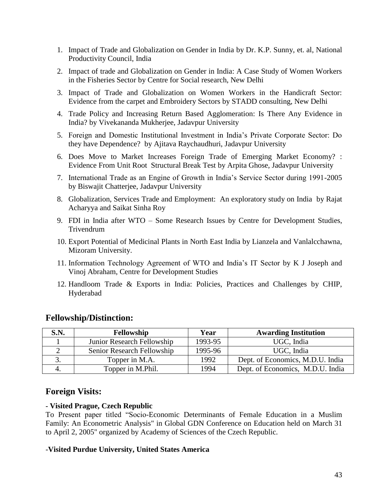- 1. Impact of Trade and Globalization on Gender in India by Dr. K.P. Sunny, et. al, National Productivity Council, India
- 2. Impact of trade and Globalization on Gender in India: A Case Study of Women Workers in the Fisheries Sector by Centre for Social research, New Delhi
- 3. Impact of Trade and Globalization on Women Workers in the Handicraft Sector: Evidence from the carpet and Embroidery Sectors by STADD consulting, New Delhi
- 4. Trade Policy and Increasing Return Based Agglomeration: Is There Any Evidence in India? by Vivekananda Mukherjee, Jadavpur University
- 5. Foreign and Domestic Institutional Investment in India's Private Corporate Sector: Do they have Dependence? by Ajitava Raychaudhuri, Jadavpur University
- 6. Does Move to Market Increases Foreign Trade of Emerging Market Economy? : Evidence From Unit Root Structural Break Test by Arpita Ghose, Jadavpur University
- 7. International Trade as an Engine of Growth in India's Service Sector during 1991-2005 by Biswajit Chatterjee, Jadavpur University
- 8. Globalization, Services Trade and Employment: An exploratory study on India by Rajat Acharyya and Saikat Sinha Roy
- 9. FDI in India after WTO Some Research Issues by Centre for Development Studies, Trivendrum
- 10. Export Potential of Medicinal Plants in North East India by Lianzela and Vanlalcchawna, Mizoram University.
- 11. Information Technology Agreement of WTO and India's IT Sector by K J Joseph and Vinoj Abraham, Centre for Development Studies
- 12. Handloom Trade & Exports in India: Policies, Practices and Challenges by CHIP, Hyderabad

### **Fellowship/Distinction:**

| S.N. | Fellowship                 | Year    | <b>Awarding Institution</b>      |
|------|----------------------------|---------|----------------------------------|
|      | Junior Research Fellowship | 1993-95 | UGC, India                       |
|      | Senior Research Fellowship | 1995-96 | UGC, India                       |
|      | Topper in M.A.             | 1992    | Dept. of Economics, M.D.U. India |
|      | Topper in M.Phil.          | 1994    | Dept. of Economics, M.D.U. India |

### **Foreign Visits:**

### **- Visited Prague, Czech Republic**

To Present paper titled "Socio-Economic Determinants of Female Education in a Muslim Family: An Econometric Analysis" in Global GDN Conference on Education held on March 31 to April 2, 2005" organized by Academy of Sciences of the Czech Republic.

### -**Visited Purdue University, United States America**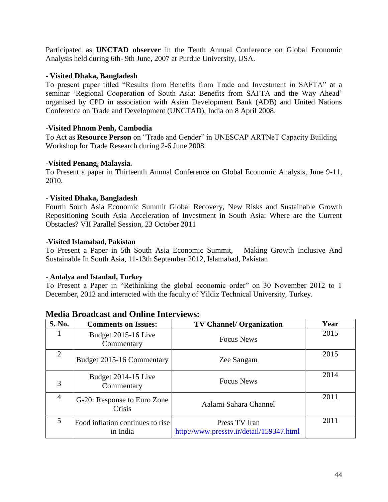Participated as **UNCTAD observer** in the Tenth Annual Conference on Global Economic Analysis held during 6th- 9th June, 2007 at Purdue University, USA.

#### **- Visited Dhaka, Bangladesh**

To present paper titled "Results from Benefits from Trade and Investment in SAFTA" at a seminar 'Regional Cooperation of South Asia: Benefits from SAFTA and the Way Ahead' organised by CPD in association with Asian Development Bank (ADB) and United Nations Conference on Trade and Development (UNCTAD), India on 8 April 2008.

#### -**Visited Phnom Penh, Cambodia**

To Act as **Resource Person** on "Trade and Gender" in UNESCAP ARTNeT Capacity Building Workshop for Trade Research during 2-6 June 2008

#### -**Visited Penang, Malaysia.**

To Present a paper in Thirteenth Annual Conference on Global Economic Analysis, June 9-11, 2010.

#### **- Visited Dhaka, Bangladesh**

Fourth South Asia Economic Summit Global Recovery, New Risks and Sustainable Growth Repositioning South Asia Acceleration of Investment in South Asia: Where are the Current Obstacles? VII Parallel Session, 23 October 2011

#### -**Visited Islamabad, Pakistan**

To Present a Paper in 5th South Asia Economic Summit, Making Growth Inclusive And Sustainable In South Asia, 11-13th September 2012, Islamabad, Pakistan

#### - **Antalya and Istanbul, Turkey**

To Present a Paper in "Rethinking the global economic order" on 30 November 2012 to 1 December, 2012 and interacted with the faculty of Yildiz Technical [University,](http://www.yildiz.edu.tr/en/) Turkey.

| S. No.         | <b>Comments on Issues:</b>                   | <b>TV Channel/ Organization</b>                           | Year |
|----------------|----------------------------------------------|-----------------------------------------------------------|------|
|                | Budget 2015-16 Live<br>Commentary            | <b>Focus News</b>                                         | 2015 |
| $\overline{2}$ | Budget 2015-16 Commentary                    | Zee Sangam                                                | 2015 |
| 3              | Budget 2014-15 Live<br>Commentary            | <b>Focus News</b>                                         | 2014 |
| $\overline{4}$ | G-20: Response to Euro Zone<br>Crisis        | Aalami Sahara Channel                                     | 2011 |
| 5              | Food inflation continues to rise<br>in India | Press TV Iran<br>http://www.presstv.ir/detail/159347.html | 2011 |

#### **Media Broadcast and Online Interviews:**